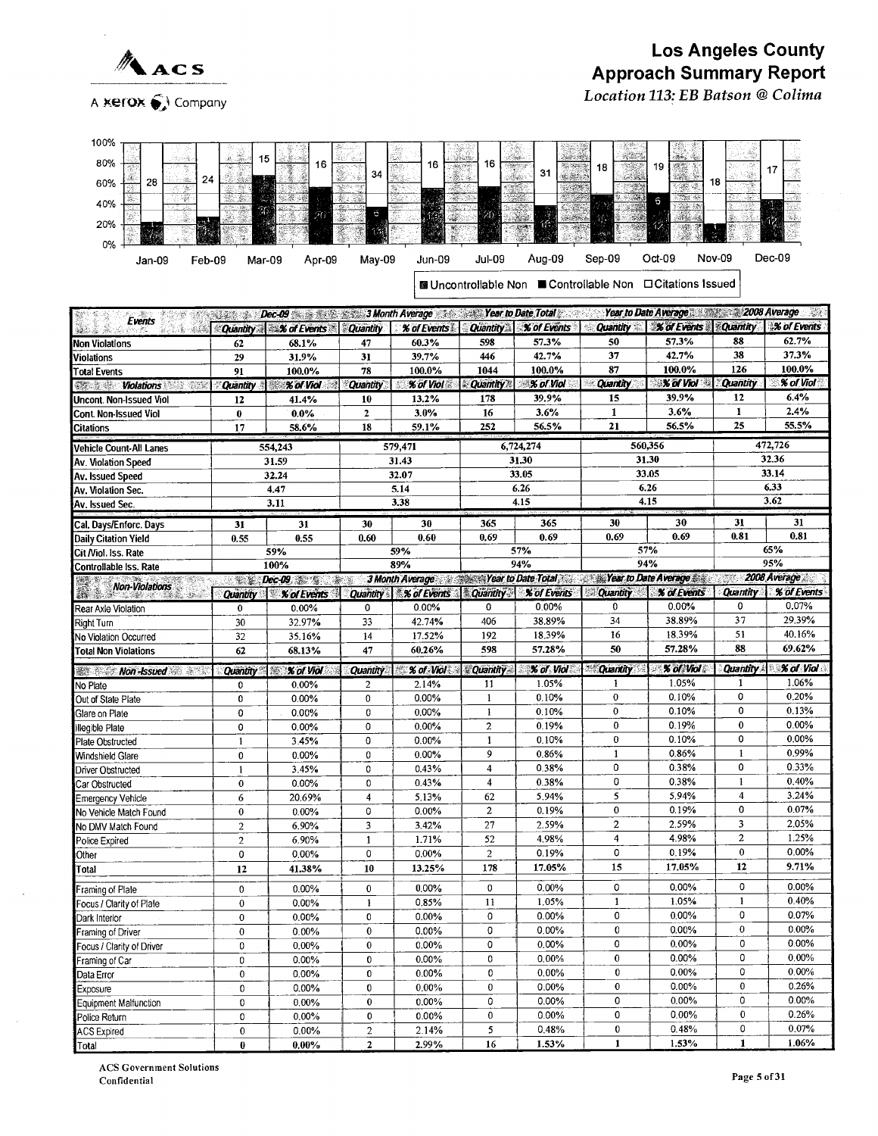

Location 113: EB Batson @Colima



| Events                                  | Alian Sa        | Dec-09 3 Month Average 2018 Year to Date Total |                         |                                                         |                       | JA PR                     |                 | Year to Date Average 2008 Average |                 | 29                 |
|-----------------------------------------|-----------------|------------------------------------------------|-------------------------|---------------------------------------------------------|-----------------------|---------------------------|-----------------|-----------------------------------|-----------------|--------------------|
|                                         |                 | Quantity X of Events                           | <b>Quantity</b>         | % of Events                                             | <b>Quantity</b>       | % of Events               | <b>Quantity</b> | <b>% of Events</b>                | <b>Quantity</b> | <b>% of Events</b> |
| Non Violations                          | 62              | 68.1%                                          | 47                      | 60.3%                                                   | 598                   | 57.3%                     | 50              | 57.3%                             | 88              | 62.7%              |
| Violations                              | 29              | 31.9%                                          | 31                      | 39.7%                                                   | 446                   | 42.7%                     | 37              | 42.7%                             | 38              | 37.3%              |
| <b>Total Events</b>                     | 91              | 100.0%                                         | 78                      | 100.0%                                                  | 1044                  | 100.0%                    | 87              | 100.0%                            | 126             | 100.0%             |
| 492 S St<br><b>Violations</b>           | <b>Quantity</b> | % of Viol                                      | <b>Quantity</b>         | $%$ of Viol                                             | <b>Quantity</b><br>ŝ. | <b>% of Viol</b>          | <b>Quantity</b> | $X$ of Viol                       | <b>Quantity</b> | % of Viol          |
| Uncont. Non-Issued Viol                 | 12              | 41.4%                                          | 10                      | 13.2%                                                   | 178                   | 39.9%                     | 15              | 39.9%                             | 12              | 6.4%               |
| Cont Non-Issued Viol                    | $\pmb{0}$       | $0.0\%$                                        | $\mathbf{2}$            | 3.0%                                                    | 16                    | 3.6%                      | $\mathbf{1}$    | 3.6%                              | 1               | 2.4%               |
| Citations                               | 17              | 58.6%                                          | 18                      | 59.1%                                                   | 252                   | 56.5%                     | 21              | 56.5%                             | 25              | 55.5%              |
| Vehicle Count-All Lanes                 |                 | 554,243                                        |                         | 579,471                                                 |                       | 6,724,274                 |                 | 560,356                           |                 | 472,726            |
| Av. Violation Speed                     |                 | 31.59                                          |                         | 31.43                                                   |                       | 31.30                     |                 | 31.30                             |                 | 32.36              |
| Av. Issued Speed                        |                 | 32.24                                          |                         | 32.07                                                   |                       | 33.05                     |                 | 33.05                             |                 | 33.14              |
| Av. Violation Sec.                      |                 | 4.47                                           |                         | 5.14                                                    |                       | 6.26                      |                 | 6.26                              |                 | 6.33               |
| Av. Issued Sec.                         |                 | 3.11                                           |                         | 3.38                                                    |                       | 4.15                      |                 | 4.15                              |                 | 3.62               |
| Cal, Days/Enforc. Days                  | 31              | 31                                             | 30                      | 30                                                      | 365                   | 365                       | 30              | 30                                | 31              | 31                 |
| Daily Citation Yield                    | 0.55            | 0.55                                           | 0.60                    | 0.60                                                    | 0.69                  | 0.69                      | 0.69            | 0.69                              | 0.81            | 0.81               |
| Cit Niol. Iss. Rate                     |                 | 59%                                            |                         | 59%                                                     |                       | 57%                       |                 | 57%                               |                 | 65%                |
| Controllable Iss. Rate                  |                 | 100%                                           |                         | 89%                                                     |                       | 94%                       |                 | 94%                               |                 | 95%                |
| Non-Violations                          | 计编辑             | $Dec-09$                                       | $\frac{1}{2}$           | 3 Month Average Year to Date Total Year to Date Average |                       |                           |                 |                                   | W.              | 2008 Average       |
|                                         | Quantity        | <b>% of Events</b><br>Ÿ.                       | <b>Quantity</b>         | % of Events                                             | <b>Quantity</b>       | <b><i>% of Events</i></b> | <b>Quantity</b> | % of Events                       | <b>Quantity</b> | % of Events        |
| Rear Axle Violation                     | $\bf{0}$        | 0.00%                                          | 0                       | 0.00%                                                   | 0                     | 0.00%                     | 0               | $0.00\%$                          | 0               | 0.07%              |
| Right Turn                              | 30              | 32.97%                                         | 33                      | 42.74%                                                  | 406                   | 38.89%                    | 34              | 38.89%                            | 37              | 29.39%             |
| No Violation Occurred                   | 32              | 35.16%                                         | 14                      | 17.52%                                                  | 192                   | 18.39%                    | 16              | 18.39%                            | 51              | 40.16%             |
| <b>Total Non Violations</b>             | 62              | 68.13%                                         | 47                      | 60.26%                                                  | 598                   | 57.28%                    | 50              | 57.28%                            | 88              | 69.62%             |
| ▓҈҈ <del>҈</del> <i>Mon -Issued</i> ☞ ҈ | Quantity        | <b>X of Viol</b>                               | <b>Quantity</b>         | % of Viol                                               | <b>Quantity</b>       | % of Viol                 | <b>Quantity</b> | % of Viol                         | Quantity        | % of Viol          |
| No Plate                                | 0               | 0.00%                                          | $\mathbf{2}$            | 2.14%                                                   | 11                    | 1.05%                     | 1               | 1.05%                             | 1               | 1.06%              |
| Out of State Plate                      | 0               | 0.00%                                          | 0                       | 0.00%                                                   | $\mathbf{1}$          | 0.10%                     | $\bf{0}$        | 0.10%                             | 0               | 0.20%              |
| Glare on Plate                          | 0               | 0.00%                                          | 0                       | $0.00\%$                                                | $\mathbf{1}$          | 0.10%                     | $\bf{0}$        | 0.10%                             | 0               | 0.13%              |
| <b>Illegible Plate</b>                  | 0               | 0.00%                                          | 0                       | 0.00%                                                   | $\overline{2}$        | 0.19%                     | $\bf{0}$        | 0.19%                             | 0               | 0.00%              |
| Plate Obstructed                        | $\mathbf{1}$    | 3.45%                                          | 0                       | 0.00%                                                   | $\mathbf{1}$          | 0.10%                     | $\bf{0}$        | 0.10%                             | 0               | 0.00%              |
| Windshield Glare                        | 0               | 0.00%                                          | $\bf{0}$                | 0.00%                                                   | 9                     | 0.86%                     | $\mathbf{1}$    | 0.86%                             | $\mathbf{1}$    | 0.99%              |
| Driver Obstructed                       | $\mathbf{1}$    | 3.45%                                          | 0                       | 0.43%                                                   | 4                     | 0.38%                     | 0               | 0.38%                             | 0               | 0.33%              |
| Car Obstructed                          | $\pmb{0}$       | 0.00%                                          | 0                       | 0.43%                                                   | 4                     | 0.38%                     | 0               | 0.38%                             | $\mathbf{1}$    | 0.40%              |
| Emergency Vehicle                       | 6               | 20.69%                                         | 4                       | 5.13%                                                   | 62                    | 5.94%                     | 5               | 5.94%                             | $\overline{4}$  | 3.24%              |
| No Vehicle Match Found                  | $\bf{0}$        | $0.00\%$                                       | 0                       | 0.00%                                                   | $\overline{c}$        | 0.19%                     | $\bf{0}$        | 0.19%                             | 0               | 0.07%              |
| No DMV Match Found                      | $\overline{2}$  | 6.90%                                          | 3                       | 3.42%                                                   | 27                    | 2.59%                     | $\overline{2}$  | 2.59%                             | 3               | 2.05%              |
| Police Expired                          | $\overline{c}$  | 6.90%                                          | $\mathbf{1}$            | 1.71%                                                   | 52                    | 4.98%                     | $\overline{4}$  | 4.98%                             | $\overline{2}$  | 1.25%              |
| Other                                   | 0               | $0.00\%$                                       | 0                       | 0.00%                                                   | $\overline{2}$        | 0.19%                     | 0               | 0.19%                             | 0               | 0.00%              |
| Total                                   | 12              | 41.38%                                         | 10                      | 13.25%                                                  | 178                   | 17.05%                    | 15              | 17.05%                            | 12              | 9.71%              |
| Framing of Plale                        | $\bf{0}$        | 0.00%                                          | $\bf{0}$                | $0.00\%$                                                | 0                     | 0.00%                     | 0               | 0.00%                             | 0               | 0.00%              |
| Focus / Clarity of Plale                | $\bf{0}$        | $0.00\%$                                       | $\mathbf{1}$            | 0.85%                                                   | 11                    | 1.05%                     | 1               | 1.05%                             | 1               | 0.40%              |
| Dark Interior                           | $\bf{0}$        | 0.00%                                          | 0                       | $0.00\%$                                                | 0                     | 0.00%                     | 0               | 0.00%                             | 0               | 0.07%              |
| Framing of Driver                       | 0               | 0.00%                                          | 0                       | 0.00%                                                   | 0                     | 0.00%                     | $\mathbf 0$     | 0.00%                             | 0               | 0.00%              |
| Focus / Clarity of Driver               | 0               | $0.00\%$                                       | 0                       | 0.00%                                                   | 0                     | 0.00%                     | 0               | 0.00%                             | 0               | 0.00%              |
| Framing of Car                          | 0               | 0.00%                                          | 0                       | $0.00\%$                                                | 0                     | 0.00%                     | $\pmb{0}$       | 0.00%                             | 0               | $0.00\%$           |
| Data Error                              | $\bf{0}$        | 0.00%                                          | 0                       | $0.00\%$                                                | 0                     | $0.00\%$                  | $\bf{0}$        | 0.00%                             | 0               | 0.00%              |
| Exposure                                | $\bf{0}$        | $0.00\%$                                       | 0                       | $0.00\%$                                                | 0                     | 0.00%                     | $\pmb{0}$       | 0.00%                             | $\pmb{0}$       | 0.26%              |
| Equipment Malfunction                   | 0               | 0.00%                                          | $\pmb{0}$               | $0.00\%$                                                | 0                     | 0.00%                     | 0               | 0.00%                             | 0               | 0.00%              |
| Police Return                           | 0               | $0.00\%$                                       | 0                       | $0.00\%$                                                | 0                     | $0.00\%$                  | 0               | 0.00%                             | 0               | 0.26%              |
| <b>ACS Expired</b>                      | $\pmb{0}$       | 0.00%                                          | $\,2$                   | 2.14%                                                   | 5                     | 0.48%                     | $\pmb{0}$       | 0.48%                             | 0               | 0.07%              |
| Total                                   | $\bf{0}$        | $0.00\%$                                       | $\overline{\mathbf{2}}$ | 2.99%                                                   | 16                    | 1.53%                     | $\mathbf{1}$    | 1.53%                             | $\mathbf{1}$    | 1.06%              |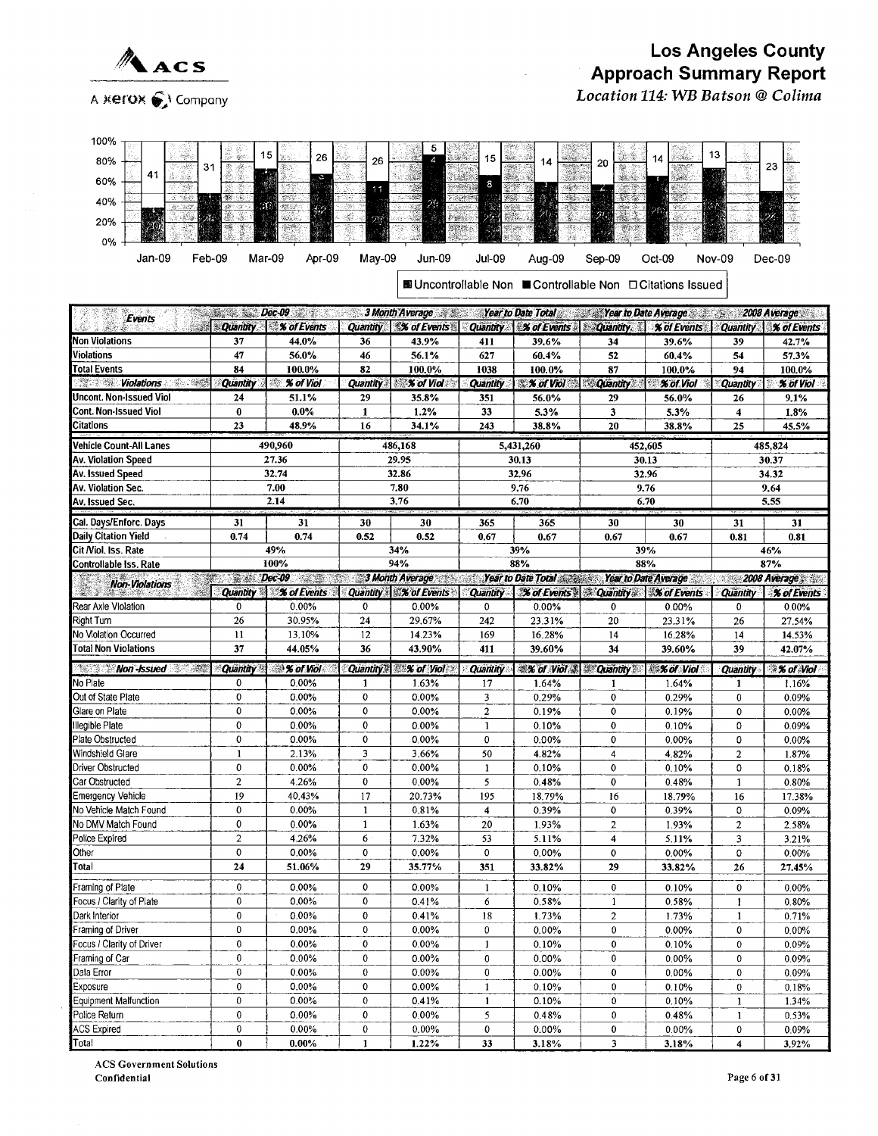

Location 114: WB Batson @ Colima

| 100%                                 |                    |                                          |                 |                                                                                       |                            |                    |                               |                                                                    |                 |                    |
|--------------------------------------|--------------------|------------------------------------------|-----------------|---------------------------------------------------------------------------------------|----------------------------|--------------------|-------------------------------|--------------------------------------------------------------------|-----------------|--------------------|
|                                      | $\frac{1}{2}$      | 15<br>26                                 |                 |                                                                                       | 15                         |                    |                               | $\sim 10$                                                          | 13              |                    |
| 80%<br>31                            |                    |                                          | 26              |                                                                                       |                            | 14                 | 20<br>嬔                       | 14                                                                 |                 | 23<br>Ŷ.           |
| 41<br>60%                            |                    | J.                                       | 11              |                                                                                       | 8<br>W.                    |                    | $\mathbb{R}$<br>Ŀ.            |                                                                    |                 |                    |
| 40%                                  | 豩<br>$\mathcal{R}$ |                                          |                 | 29                                                                                    | $\mathcal{P}(\mathcal{C})$ | 公路<br><b>SAL</b>   | $\frac{1}{2}$ , $\frac{1}{2}$ | M. Ca<br>神宗系                                                       |                 |                    |
| 20%                                  |                    | 42                                       |                 | W.                                                                                    |                            |                    | a.<br>$\mathcal{P}$ is        |                                                                    |                 | Ţ                  |
| 0%                                   |                    |                                          |                 | $-2.2$                                                                                |                            |                    |                               |                                                                    |                 |                    |
| Jan 09<br>Feb-09                     | Mar-09             | Apr-09                                   | May-09          | <b>Jun-09</b>                                                                         | Jul-09                     | Aug-09             | Sep-09                        | Oct-09                                                             | <b>Nov-09</b>   | $Dec-09$           |
|                                      |                    |                                          |                 |                                                                                       |                            |                    |                               |                                                                    |                 |                    |
|                                      |                    |                                          |                 |                                                                                       |                            |                    |                               | <b>El Uncontrollable Non ■ Controllable Non □ Citations Issued</b> |                 |                    |
|                                      |                    |                                          |                 |                                                                                       |                            |                    |                               |                                                                    |                 |                    |
| Events                               |                    | $Dec-09$                                 |                 | 3 Month Average                                                                       |                            |                    |                               | Year to Date Total Year to Date Average                            |                 | 2008 Average       |
|                                      | <b>Quantity</b>    | <b>X</b> of Events                       | <b>Quantity</b> | <b>X% of Events</b>                                                                   | <b>Quantity</b>            | % of Events        | <b>Cuantity.</b>              | % of Events                                                        | <b>Quantity</b> | <b>% of Events</b> |
| <b>Non Violations</b>                | 37                 | 44.0%                                    | 36              | 43.9%                                                                                 | 411                        | 39.6%              | 34                            | 39.6%                                                              | 39              | 42.7%              |
| Violations                           | 47                 | 56.0%                                    | 46              | 56.1%                                                                                 | 627                        | 60.4%              | 52                            | 60.4%                                                              | 54              | 57.3%              |
| <b>Total Events</b>                  | 84                 | 100.0%                                   | 82              | 100.0%                                                                                | 1038                       | 100.0%             | 87                            | 100.0%                                                             | 94              | 100.0%             |
| Violations<br>$-20 - 1 - 20$<br>$-1$ | <b>Quantity</b>    | % of Viol<br>$\mathcal{R}^{\mathcal{D}}$ | <b>Quantity</b> | <b>XX of Viol</b>                                                                     | <b>Quantity</b>            | <b>X of Viol</b>   | <b>Quantity</b>               | % of Viol                                                          | Quantity        | % of Viol          |
| <b>Uncont. Non-Issued Viol</b>       | 24                 | 51.1%                                    | 29              | 35.8%                                                                                 | 351                        | 56.0%              | 29                            | 56.0%                                                              | 26              | 9.1%               |
| Cont. Non-Issued Viol                | $\bf{0}$           | $0.0\%$                                  | 1               | 1.2%                                                                                  | 33                         | 5.3%               | 3                             | 5.3%                                                               | 4               | 1.8%               |
| <b>Citations</b>                     | 23                 | 48.9%                                    | 16              | 34.1%                                                                                 | 243                        | 38.8%              | 20                            | 38.8%                                                              | 25              | 45.5%              |
| <b>Vehicle Count-All Lanes</b>       |                    | 490,960                                  |                 | 486,168                                                                               |                            | 5,431,260          |                               | 452,605                                                            |                 | 485,824            |
| Av. Violation Speed                  |                    | 27.36                                    |                 | 29.95                                                                                 |                            | 30.13              |                               | 30.13                                                              |                 | 30.37              |
| Av. Issued Speed                     |                    | 32.74                                    |                 | 32.86                                                                                 |                            | 32.96              |                               | 32.96                                                              |                 | 34.32              |
| Av. Violation Sec.                   |                    | 7.00                                     |                 | 7.80                                                                                  |                            | 9.76               |                               | 9.76                                                               |                 | 9.64               |
| Av. Issued Sec.                      |                    | 2.14                                     |                 | 3,76                                                                                  |                            | 6.70               |                               | 6.70                                                               |                 | 5.55               |
| Cal. Days/Enforc. Days               | 31                 | 31                                       | 30              | 30                                                                                    | 365                        | 365                | 30                            | 30                                                                 | 31              | 31                 |
| <b>Daily Citation Yield</b>          | 0.74               | 0.74                                     | 0.52            | 0.52                                                                                  | 0.67                       | 0.67               | 0.67                          | 0.67                                                               | 0.81            | 0.81               |
| Cit Niol. Iss. Rate                  |                    | 49%                                      |                 | 34%                                                                                   |                            | 39%                |                               | 39%                                                                |                 | 46%                |
| Controllable Iss. Rate               |                    | 100%                                     |                 | 94%                                                                                   |                            | 88%                |                               | 88%                                                                |                 | 87%                |
|                                      |                    | Dec-09                                   |                 | <b>3 Month Average</b><br>CRA.                                                        |                            | Year to Date Total |                               | Year to Date Average                                               |                 | 2008 Average       |
| <b>Non-Violations</b>                |                    | Duantity & Wat of Finance                |                 | Customer 24 of Control Customer 2 of Cunner Customer 2 of Cunner Customer 2 of Cunner |                            |                    |                               |                                                                    |                 |                    |

| <b>Non-Violations</b>       | $Dec-03$        | <b>The Manufacturer</b>       |              | , э молт нуегаде           |                 |                                                    |                | $\blacksquare$ rear to Date Total $\blacksquare$ . Their to Date Average $\blacksquare$ . Zuvo Average $\blacksquare$ |                         |                        |
|-----------------------------|-----------------|-------------------------------|--------------|----------------------------|-----------------|----------------------------------------------------|----------------|-----------------------------------------------------------------------------------------------------------------------|-------------------------|------------------------|
|                             |                 | <b>Quantity 1 % of Events</b> |              | Quantity \ % of Events     | <b>Quantity</b> | <b>X</b> of Events and Quantity <b>X</b> of Events |                |                                                                                                                       | <b>Quantity</b>         | $\mathcal X$ of Events |
| Rear Axle Vlolation         | 0               | 0.00%                         | $\mathbf{0}$ | 0.00%                      | $\mathbf{0}$    | 0.00%                                              | $\mathbf 0$    | 0.00%                                                                                                                 | 0                       | 0.00%                  |
| Right Turn                  | 26              | 30.95%                        | 24           | 29.67%                     | 242             | 23.31%                                             | 20             | 23.31%                                                                                                                | 26                      | 27.54%                 |
| No Violation Occurred       | $\mathbf{11}$   | 13.10%                        | 12           | 14.23%                     | 169             | 16.28%                                             | 14             | 16.28%                                                                                                                | 14                      | 14.53%                 |
| <b>Total Non Violations</b> | 37              | 44.05%                        | 36           | 43.90%                     | 411             | 39.60%                                             | 34             | 39.60%                                                                                                                | 39                      | 42.07%                 |
| <b>Non-Issued</b>           | <b>Quantity</b> | <sup>3</sup> % of Viol        |              | Quantity. <b>X</b> of Viol | <b>Quantity</b> | <b>A S of Viol &amp; Quantity</b>                  |                | <b>X of Viol</b>                                                                                                      | <b>Quantity</b>         | % of Viol              |
| No Plate                    | 0               | 0.00%                         | 1            | 1.63%                      | 17              | 1.64%                                              |                | 1.64%                                                                                                                 |                         | 1.16%                  |
| Out of State Plate          | 0               | 0.00%                         | $\mathbf 0$  | 0.00%                      | 3               | 0.29%                                              | $\mathbf 0$    | 0.29%                                                                                                                 | $\mathbf{0}$            | 0.09%                  |
| Glare on Plate              | 0               | 0.00%                         | 0            | 0.00%                      | $\overline{2}$  | 0.19%                                              | 0              | 0.19%                                                                                                                 | 0                       | 0.00%                  |
| Illegible Plate             | $\mathbf{0}$    | 0.00%                         | 0            | $0.00\%$                   |                 | 0.10%                                              | $\mathbf 0$    | 0.10%                                                                                                                 | 0                       | 0.09%                  |
| Plate Obstructed            | $\mathbf{0}$    | 0.00%                         | 0            | 0.00%                      | $\mathbf{0}$    | 0.00%                                              | 0              | 0.00%                                                                                                                 | 0                       | 0.00%                  |
| Windshield Glare            | $\mathbf{1}$    | 2.13%                         | 3            | 3.66%                      | 50              | 4.82%                                              | 4              | 4.82%                                                                                                                 | $\overline{c}$          | 1.87%                  |
| Driver Obstructed           | 0               | 0.00%                         | 0            | 0.00%                      |                 | 0.10%                                              | $\mathbf 0$    | 0.10%                                                                                                                 | 0                       | 0.18%                  |
| Car Obstructed              | $\overline{2}$  | 4.26%                         | $\mathbf 0$  | 0.00%                      | 5               | 0.48%                                              | $\mathbf 0$    | 0.48%                                                                                                                 |                         | 0.80%                  |
| <b>Emergency Vehicle</b>    | 19              | 40.43%                        | 17           | 20.73%                     | 195             | 18.79%                                             | 16             | 18.79%                                                                                                                | 16                      | 17.38%                 |
| No Vehicle Match Found      | 0               | 0.00%                         | $\mathbf{1}$ | 0.81%                      | 4               | 0.39%                                              | 0              | 0.39%                                                                                                                 | 0                       | 0.09%                  |
| No DMV Match Found          | 0               | 0.00%                         | $\mathbf{1}$ | 1.63%                      | 20              | 1.93%                                              | $\overline{2}$ | 1.93%                                                                                                                 | $\overline{\mathbf{2}}$ | 2.58%                  |
| Police Expired              | $\overline{2}$  | 4.26%                         | 6            | 7.32%                      | 53              | 5.11%                                              | 4              | 5.11%                                                                                                                 | 3                       | 3.21%                  |
| Other                       | $\mathbf 0$     | 0.00%                         | 0            | 0.00%                      | $\mathbf{0}$    | 0.00%                                              | $\mathbf 0$    | $0.00\%$                                                                                                              | ٥                       | 0.00%                  |
| Total                       | 24              | 51.06%                        | 29           | 35.77%                     | 351             | 33.82%                                             | 29             | 33.82%                                                                                                                | 26                      | 27.45%                 |
| Framing of Plate            | $\mathbf{0}$    | 0.00%                         | $\mathbf 0$  | 0.00%                      |                 | 0.10%                                              | $\mathbf{0}$   | 0.10%                                                                                                                 | 0                       | 0.00%                  |
| Focus / Clarity of Plate    | $\mathbf 0$     | 0.00%                         | $\mathbf 0$  | 0.41%                      | 6               | 0.58%                                              | 1              | 0.58%                                                                                                                 |                         | 0.80%                  |
| Dark Interior               | 0               | $0.00\%$                      | 0            | 0.41%                      | 18              | 1.73%                                              | $\overline{2}$ | 1.73%                                                                                                                 | 1                       | 0.71%                  |
| Framing of Driver           | $\mathbf{0}$    | $0.00\%$                      | $\mathbf{0}$ | 0.00%                      | 0               | 0.00%                                              | 0              | 0.00%                                                                                                                 | 0                       | 0.00%                  |
| Focus / Clarity of Driver   | 0               | 0.00%                         | $\mathbf 0$  | 0.00%                      |                 | 0.10%                                              | $\mathbf 0$    | 0.10%                                                                                                                 | 0                       | 0.09%                  |
| Framing of Car              | 0               | $0.00\%$                      | $\mathbf 0$  | 0.00%                      | 0               | 0.00%                                              | $\bf{0}$       | 0.00%                                                                                                                 | 0                       | 0.09%                  |
| Dala Error                  | 0               | 0.00%                         | $\mathbf{0}$ | 0.00%                      | 0               | 0.00%                                              | 0              | 0.00%                                                                                                                 | 0                       | 0.09%                  |
| Exposure                    | $\Omega$        | 0.00%                         | $\mathbf 0$  | 0.00%                      | 1               | 0.10%                                              | $\Omega$       | 0.10%                                                                                                                 | 0                       | 0.18%                  |
| Equipment Malfunction       | $\mathbf{0}$    | 0.00%                         | 0            | 0.41%                      | $\mathbf{1}$    | 0.10%                                              | 0              | 0.10%                                                                                                                 |                         | 1.34%                  |
| Police Return               | $\mathbf 0$     | 0.00%                         | $\mathbf 0$  | 0.00%                      | 5               | 0.48%                                              | 0              | 0.48%                                                                                                                 | 1                       | 0.53%                  |
| <b>ACS</b> Expired          | 0               | $0.00\%$                      | $\mathbf{0}$ | $0.00\%$                   | $\mathbf{0}$    | 0.00%                                              | $\mathbf 0$    | 0.00%                                                                                                                 | 0                       | 0.09%                  |
| Total                       | $\bf{0}$        | $0.00\%$                      | $\mathbf{1}$ | 1.22%                      | 33              | 3.18%                                              | 3              | 3.18%                                                                                                                 | 4                       | 3.92%                  |

**ACS Government Solutions** Confidential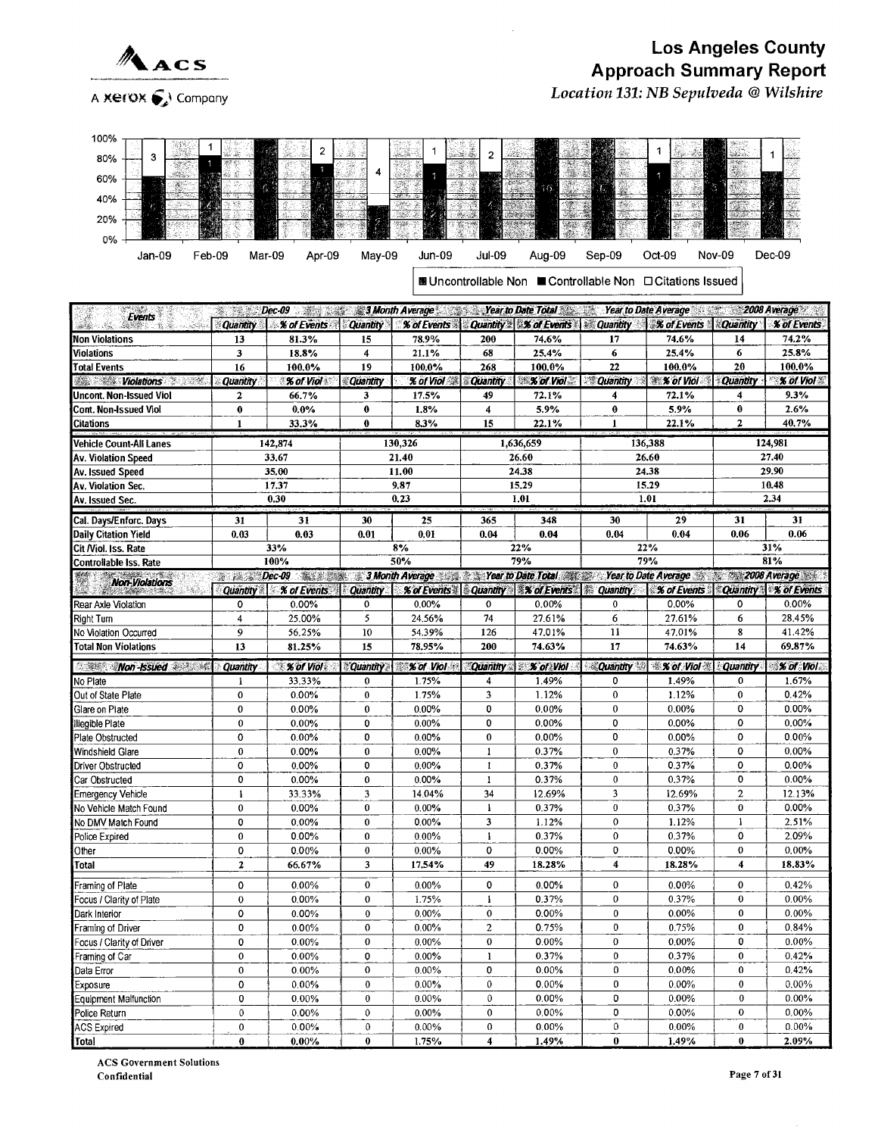

Location 131: NB Sepulveda @Wilshire



■Uncontrollable Non ■Controllable Non ❑Citations Issued

| ¥.<br><b>Events</b>                 |                     | Dec-09 Dec-09 3 Month Average 3 Month Average 3 Near to Date Total Miss Near to Date Average 2008 Average |                           |                      |                              |                                  |                         |                                       |                   |                        |
|-------------------------------------|---------------------|-----------------------------------------------------------------------------------------------------------|---------------------------|----------------------|------------------------------|----------------------------------|-------------------------|---------------------------------------|-------------------|------------------------|
|                                     | <b>Quantity</b>     | % of Events                                                                                               | <b>Quantity</b>           | % of Events Cuantity |                              | <b>% of Events</b>               | <b>ARE Quantity</b>     | <b>% of Events</b>                    | <b>Couantity</b>  | <b>% of Events</b>     |
| <b>Non Violations</b>               | 13                  | 81.3%                                                                                                     | 15                        | 78.9%                | 200                          | 74.6%                            | 17                      | 74.6%                                 | 14                | 74.2%                  |
| <b>Violations</b>                   | $\mathbf{3}$        | 18.8%                                                                                                     | 4                         | 21.1%                | 68                           | 25.4%                            | $\bf{6}$                | 25.4%                                 | 6                 | 25.8%                  |
| <b>Total Events</b>                 | 16                  | 100.0%                                                                                                    | 19                        | 100.0%               | 268                          | 100.0%                           | 22                      | 100.0%                                | 20                | 100.0%                 |
| Violations<br>S. S.                 | <b>Quantity</b>     | % of Viol                                                                                                 | Quantity                  | % of Viol            | <b>Quantity</b>              | $\mathcal X$ of Viol             | <b>Quantity</b>         | <b>We Set Viol</b> :                  | Quantity          | % of Viol              |
| Uncont. Non-Issued Viol             | $\mathbf{2}$        | 66.7%                                                                                                     | 3                         | 17.5%                | 49                           | 72.1%                            | $\ddot{\phantom{0}}$    | 72.1%                                 | 4                 | 9.3%                   |
| Cont. Non-Issued Viol               | $\bf{0}$            | 0.0%                                                                                                      | $\bf{0}$                  | 1.8%                 | 4                            | 5.9%                             | $\bf{0}$                | 5.9%                                  | $\bf{0}$          | 2.6%                   |
| <b>Citations</b>                    | $\mathbf{1}$        | 33.3%                                                                                                     | $\bf{0}$                  | 8.3%                 | 15                           | 22.1%                            | 1                       | 22.1%                                 | $\mathbf{2}$      | 40.7%                  |
| Vehicle Count-All Lanes             |                     | 142,874                                                                                                   |                           | 130,326              |                              | 1,636,659                        |                         | 136,388                               |                   | 124,981                |
| Av. Violation Speed                 |                     | 33.67                                                                                                     |                           | 21.40                |                              | 26.60                            |                         | 26.60                                 |                   | 27.40                  |
| Av. Issued Speed                    |                     | 35.00                                                                                                     |                           | 11.00                |                              | 24.38                            |                         | 24.38                                 |                   | 29.90                  |
| Av. Violation Sec.                  |                     | 17.37                                                                                                     |                           | 9.87                 |                              | 15.29                            |                         | 15.29                                 |                   | 10.48                  |
| Av. Issued Sec.                     |                     | 0.30                                                                                                      |                           | 0.23                 |                              | 1.01                             |                         | 1.01                                  |                   | 2.34                   |
| Cal. Days/Enforc. Days              | 31                  | 31                                                                                                        | 30                        | 25                   | 365                          | 348                              | 30                      | 29                                    | 31                | 31                     |
| Daily Citation Yield                | 0.03                | 0.03                                                                                                      | 0.01                      | 0.01                 | 0.04                         | 0.04                             | 0.04                    | 0.04                                  | 0.06              | 0.06                   |
| Cit Niol. Iss. Rate                 |                     | 33%                                                                                                       |                           | 8%                   |                              | 22%                              |                         | 22%                                   |                   | 31%                    |
| Controllable Iss. Rate              |                     | 100%                                                                                                      |                           | 50%                  |                              | 79%                              |                         | 79%                                   |                   | 81%                    |
| <b>Non-Violations</b>               |                     | Dec-09 Sales 3 Month Average 3 Sear to Date Total Star to Date Average 3 2008 Average 3 3 Nonth Average   |                           |                      |                              |                                  |                         |                                       |                   |                        |
|                                     | <b>Quantity</b>     | % of Events                                                                                               | <b>Quantity</b>           |                      |                              | % of Events Quantity % of Events | <b>Quantity</b>         | <b>% of Events</b>                    |                   | Quantity \ % of Events |
| Rear Axle Violation                 | 0                   | 0.00%                                                                                                     | $\mathbf 0$               | 0.00%                | 0                            | 0.00%                            | 0                       | 0.00%                                 | 0                 | 0.00%                  |
| Right Turn                          | $\overline{4}$      | 25.00%                                                                                                    | 5                         | 24.56%               | 74                           | 27.61%                           | 6                       | 27.61%                                | 6                 | 28.45%                 |
| No Violation Occurred               | $\overline{9}$      | 56.25%                                                                                                    | 10                        | 54.39%               | 126                          | 47.01%                           | 11                      | 47.01%                                | 8                 | 41.42%                 |
| <b>Total Non Violations</b>         | 13                  | 81.25%                                                                                                    | 15                        | 78.95%               | 200                          | 74.63%                           | 17                      | 74.63%                                | 14                | 69.87%                 |
| <b><i>Non-Issued</i></b> and the    | <b>Quantity</b>     | $% of$ Viol                                                                                               | <b>Quantity</b>           | % of Viol            | <b>Quantity</b>              | % of Viol                        |                         | <b>Quantity &amp; X of Viol &amp;</b> | <b>Quantity</b>   | % of Viol              |
| No Plate                            | 1                   | 33,33%                                                                                                    | $\bf{0}$                  | 1.75%                | 4                            | 1.49%                            | 0                       | 1.49%                                 | 0                 | 1.67%                  |
| Out of State Plate                  | $\mathbf{0}$        | 0.00%                                                                                                     | $\bf{0}$                  | 1.75%                | 3                            | 1.12%                            | $\mathbf{0}$            | 1.12%                                 | $\mathbf 0$       | 0.42%                  |
| Glare on Plate                      | $\mathbf{0}$        | 0.00%                                                                                                     | $\mathbf 0$               | $0.00\%$             | 0                            | 0.00%                            | $\mathbf{0}$            | 0.00%                                 | 0                 | 0.00%                  |
| Illegible Plate                     | $\pmb{0}$           | 0.00%                                                                                                     | $\pmb{0}$                 | $0.00\%$             | 0                            | 0.00%                            | 0                       | 0.00%                                 | 0                 | 0.00%                  |
| Plate Obstructed                    | $\mathbf 0$         | 0.00%                                                                                                     | 0                         | 0.00%                | $\mathbf 0$                  | 0.00%                            | 0                       | 0.00%                                 | 0                 | 0.00%                  |
| Windshield Glare                    | $\bf{0}$            | 0.00%                                                                                                     | $\bf{0}$                  | $0.00\%$             | $\mathbf{1}$                 | 0.37%                            | $\pmb{0}$               | 0.37%                                 | 0                 | 0.00%                  |
| Driver Obstructed                   | $\mathbf 0$         | 0.00%                                                                                                     | $\mathbf 0$               | $0.00\%$             | $\mathbf{t}$                 | 0.37%                            | $\mathbf{0}$            | 0.37%                                 | 0                 | 0.00%                  |
| Car Obstructed                      | 0                   | 0.00%                                                                                                     | $\mathbf{0}$              | 0.00%                | $\bf{1}$                     | 0.37%                            | $\bf{0}$                | 0.37%                                 | 0                 | 0.00%                  |
| Emergency Vehicle                   | $\mathbf{1}$        | 33.33%                                                                                                    | $\overline{3}$            | 14.04%               | 34                           | 12.69%                           | 3                       | 12.69%                                | $\overline{2}$    | 12.13%                 |
| No Vehicle Match Found              | $\Omega$            | 0.00%                                                                                                     | $\mathbf{0}$              | 0.00%                | $\mathbf{1}$                 | 0.37%                            | $\mathbf{0}$            | 0.37%                                 | $\mathbf{0}$      | 0.00%                  |
| No DMV Match Found                  | 0                   | 0.00%                                                                                                     | $\mathbf 0$               | $0.00\%$             | 3                            | 1.12%                            | $\bf{0}$                | 1.12%                                 | $\mathbf{1}$      | 2.51%                  |
| Police Expired                      | $\mathbf{0}$        | 0.00%                                                                                                     | $\pmb{0}$<br>$\mathbf{0}$ | $0.00\%$             | $\mathbf{1}$<br>0            | 0.37%                            | $\bf{0}$<br>0           | 0.37%                                 | 0<br>$\mathbf{0}$ | 2.09%<br>0.00%         |
| Other                               | 0<br>$\overline{z}$ | 0.00%                                                                                                     | $\overline{\mathbf{3}}$   | 0.00%<br>17.54%      | 49                           | 0.00%<br>18.28%                  | $\overline{4}$          | 0.00%<br>18.28%                       | $\overline{4}$    | 18.83%                 |
| Total                               |                     | 66.67%                                                                                                    |                           |                      |                              |                                  |                         |                                       |                   |                        |
| Framing of Plate                    | 0                   | 0.00%                                                                                                     | $\bf{0}$                  | $0.00\%$             | 0                            | 0.00%                            | $\bf{0}$                | 0.00%                                 | $\bf{0}$          | 0.42%                  |
| Focus / Clarity of Plate            | $\mathbf{0}$        | $0.00\%$                                                                                                  | $\mathbf{0}$              | 1.75%                | $\mathbf{1}$                 | 0.37%                            | $\mathbf{0}$            | 0.37%                                 | $\bf{0}$          | 0.00%                  |
| Dark Interior                       | 0                   | 0.00%                                                                                                     | $\pmb{0}$                 | 0.00%                | $\pmb{0}$                    | 0.00%                            | $\bf{0}$                | 0.00%                                 | 0                 | 0.00%                  |
| Framing of Driver                   | 0                   | $0.00\%$                                                                                                  | $\bf{0}$                  | 0.00%                | $\mathbf 2$                  | 0.75%                            | $\bf{0}$                | 0.75%                                 | $\theta$          | 0.84%                  |
| Focus / Clarity of Driver           | 0                   | 0.00%                                                                                                     | $\mathbf{0}$              | $0.00\%$             | $\mathbf{0}$                 | 0.00%                            | $\mathbf{0}$            | 0.00%                                 | 0                 | 0.00%                  |
| Framing of Car                      | 0                   | 0.00%                                                                                                     | 0                         | 0.00%                | $\mathbf{1}$                 | 0.37%                            | 0                       | 0.37%                                 | $\mathbf 0$       | 0.42%                  |
| Data Error                          | $\mathbf 0$         | 0.00%                                                                                                     | $\bf{0}$                  | $0.00\%$             | 0                            | 0.00%                            | 0                       | 0.00%                                 | 0                 | 0.42%                  |
| Exposure                            | 0<br>0              | 0.00%                                                                                                     | $\bf{0}$                  | $0.00\%$             | $\mathbf{0}$<br>$\mathbf{0}$ | 0.00%                            | $\bf{0}$<br>$\mathbf 0$ | 0.00%                                 | $\bf{0}$<br>0     | 0.00%<br>$0.00\%$      |
| Equipment Malfunction               | $\mathbf{0}$        | 0.00%                                                                                                     | $\bf{0}$<br>$\mathbf{0}$  | 0.00%<br>0.00%       | $\bf{0}$                     | 0.00%<br>0.00%                   | $\mathbf 0$             | 0.00%<br>0.00%                        | $\mathbf 0$       | 0.00%                  |
| Police Return<br><b>ACS Expired</b> | $\mathbf{0}$        | 0.00%<br>0.00%                                                                                            | $\mathbf{0}$              | $0.00\%$             | $\mathbf 0$                  | 0.00%                            | 0                       | 0.00%                                 | $\bf{0}$          | $0.00\%$               |
| Total                               | $\bf{0}$            | $0.00\%$                                                                                                  | $\bf{0}$                  | 1.75%                | $\overline{\bf 4}$           | 1.49%                            | $\boldsymbol{0}$        | 1.49%                                 | 0                 | 2.09%                  |
|                                     |                     |                                                                                                           |                           |                      |                              |                                  |                         |                                       |                   |                        |

ACS Government Solutions Confidential Page 7 of 31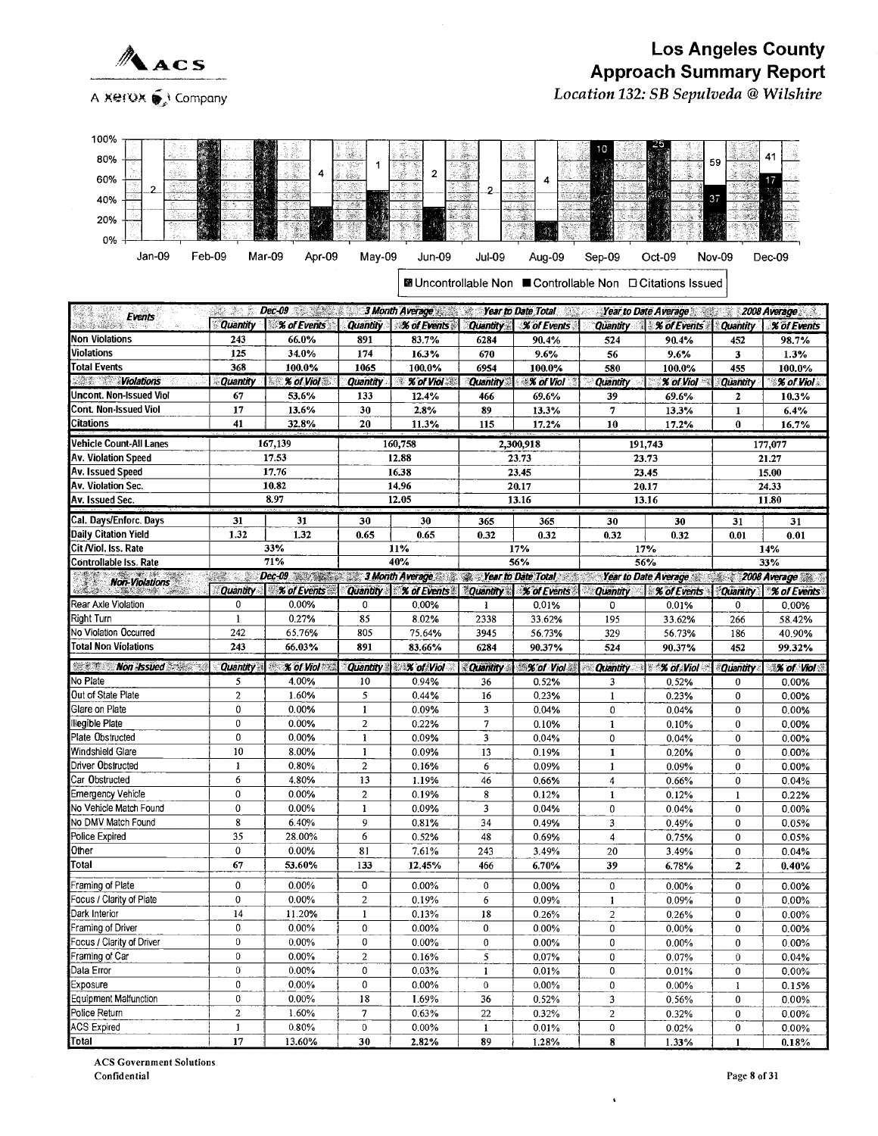

A KerOX (√ Company

# **Los Angeles County** Approach Summary Report

Location 132: SB Sepulveda @ Wilshire

| 100%                                                                              |                       |                                                              |                                |                                        |                           |                               |                       |                                                            |                              |                           |
|-----------------------------------------------------------------------------------|-----------------------|--------------------------------------------------------------|--------------------------------|----------------------------------------|---------------------------|-------------------------------|-----------------------|------------------------------------------------------------|------------------------------|---------------------------|
| 80%                                                                               |                       |                                                              | $\mathcal{L}$                  |                                        |                           |                               |                       |                                                            |                              | 41                        |
|                                                                                   |                       | 4                                                            | 1                              | 2                                      |                           | 熱<br>69.                      |                       |                                                            | 59                           |                           |
| 60%                                                                               |                       |                                                              |                                |                                        | -36<br>2                  | 4                             |                       |                                                            |                              |                           |
| 40%                                                                               |                       | y sa                                                         |                                |                                        | <b>Sec 2455</b><br>$-465$ | お上級                           |                       |                                                            | 37                           |                           |
| 20%                                                                               |                       |                                                              |                                |                                        |                           |                               |                       |                                                            |                              |                           |
|                                                                                   |                       |                                                              |                                |                                        |                           |                               |                       |                                                            |                              |                           |
| 0%                                                                                |                       |                                                              |                                |                                        |                           |                               |                       |                                                            |                              |                           |
| Feb-09<br>Jan-09                                                                  |                       | Mar-09<br>Apr-09                                             | May-09                         | Jun-09                                 | Jul-09                    | Aug-09                        | Sep-09                | Oct-09                                                     | Nov-09                       | Dec-09                    |
|                                                                                   |                       |                                                              |                                |                                        |                           |                               |                       | ■ Uncontrollable Non ■ Controllable Non □ Citations Issued |                              |                           |
|                                                                                   |                       |                                                              |                                |                                        |                           |                               |                       |                                                            |                              |                           |
| eg 1<br><b>Events</b>                                                             | V.<br>I.              | $Dec-09$                                                     |                                | 3 Month Average New Year to Date Total |                           |                               |                       | Year to Date Average                                       |                              | 2008 Average              |
|                                                                                   | <b>Quantity</b>       | % of Events                                                  | <b>Quantity</b>                | % of Events                            | <b>Quantity</b>           | <b>X</b> of Events            | <b>Quantity</b>       | % of Events                                                | <b>Quantity</b>              | <b>% of Events</b>        |
| Non Violations                                                                    | 243                   | 66.0%                                                        | 891                            | 83.7%                                  | 6284                      | 90.4%                         | 524                   | 90.4%                                                      | 452                          | 98.7%                     |
| Violations                                                                        | 125                   | 34.0%                                                        | 174                            | 16.3%                                  | 670                       | 9.6%                          | 56                    | 9.6%                                                       | 3                            | 1.3%                      |
| <b>Total Events</b><br><b>Violations</b><br>a shekarar ta 1999.<br>Waliofariki    | 368                   | 100.0%                                                       | 1065                           | 100.0%                                 | 6954                      | 100.0%                        | 580                   | 100.0%                                                     | 455                          | 100.0%                    |
| Uncont. Non-Issued Viol                                                           | <b>Quantity</b><br>67 | % of Viol<br>53.6%                                           | <b>Quantity</b><br>133         | <b>% of Viol</b><br>爆<br>12.4%         | <b>Quantity</b><br>466    | $\mathscr X$ of Viol<br>69.6% | <b>Quantity</b><br>39 | <b>% of Viol</b><br>69.6%                                  | <b>Quantity</b>              | % of Viol<br>10.3%        |
| <b>Cont. Non-Issued Viol</b>                                                      | 17                    | 13.6%                                                        | 30                             | 2.8%                                   | 89                        | 13.3%                         | 7                     | 13.3%                                                      | $\mathbf{2}$<br>$\mathbf{1}$ | 6.4%                      |
| Citations                                                                         | 41                    | 32.8%                                                        | 20                             | 11.3%                                  | 115                       | 17.2%                         | 10                    | 17.2%                                                      | $\bf{0}$                     | 16.7%                     |
| Vehicle Count-All Lanes                                                           |                       | 167,139                                                      |                                | 160,758                                |                           |                               |                       | 191,743                                                    |                              |                           |
| Av. Violation Speed                                                               |                       | 17.53                                                        |                                | 12.88                                  |                           | 2,300,918<br>23.73            |                       | 23.73                                                      |                              | 177,077<br>21.27          |
| Av. Issued Speed                                                                  |                       | 17.76                                                        |                                | 16.38                                  |                           | 23.45                         |                       | 23.45                                                      |                              | 15.00                     |
| Av. Violation Sec.                                                                |                       | 10.82                                                        |                                | 14.96                                  |                           | 20.17                         |                       | 20.17                                                      |                              | 24.33                     |
| Av. Issued Sec.                                                                   |                       | 8.97                                                         |                                | 12.05                                  |                           | 13.16                         |                       | 13.16                                                      |                              | 11.80                     |
| Cal. Days/Enforc. Days                                                            | 31                    | 31                                                           | 30                             | 30                                     | 365                       | 365                           | 30                    | 30                                                         | 31                           | 31                        |
| <b>Daily Citation Yield</b>                                                       | 1.32                  | 1.32                                                         | 0.65                           | 0.65                                   | 0.32                      | 0.32                          | 0,32                  | 0.32                                                       | 0.01                         | 0.01                      |
| Cit /Viol. Iss. Rate                                                              |                       | 33%                                                          |                                | 11%                                    |                           | 17%                           |                       | 17%                                                        |                              | 14%                       |
| Controllable Iss. Rate                                                            |                       | 71%                                                          |                                | 40%                                    |                           | 56%                           |                       | 56%                                                        |                              | 33%                       |
| Non-Violations                                                                    | UZ.<br>Ŵ.             | Dec-09 3Month Average 20 2 Year to Date Total<br>% of Events |                                | <b>Quantity X of Events</b>            |                           |                               |                       | Year to Date Average 2008 Average Williams<br>% of Events  |                              |                           |
| Sistema (                                                                         | <b>Quantity</b>       |                                                              |                                |                                        | <b>Quantity</b>           |                               | <b>Quantity</b>       |                                                            | <b>Quantity</b>              | % of Events               |
|                                                                                   |                       |                                                              |                                |                                        |                           | % of Events                   |                       |                                                            |                              |                           |
| Rear Axle Violation                                                               | 0                     | 0.00%                                                        | 0                              | 0.00%                                  | 1                         | 0.01%                         | 0                     | 0.01%                                                      | $\mathbf 0$                  | 0.00%                     |
| Right Turn<br>No Violation Occurred                                               | $\mathbf{1}$<br>242   | 0.27%<br>65.76%                                              | 85<br>805                      | 8.02%<br>75.64%                        | 2338<br>3945              | 33.62%<br>56.73%              | 195<br>329            | 33.62%<br>56.73%                                           | 266<br>186                   | 58.42%<br>40.90%          |
| <b>Total Non Violations</b>                                                       | 243                   | 66.03%                                                       | 891                            | 83.66%                                 | 6284                      | 90.37%                        | 524                   | 90.37%                                                     | 452                          | 99.32%                    |
|                                                                                   |                       |                                                              |                                |                                        |                           |                               |                       |                                                            |                              |                           |
| <b>WEST Non-Issued</b><br>No Plate                                                | <b>Quantity</b><br>5  | % of Viol<br>4.00%                                           | <b>Quantity</b><br>10          | <b>X</b> of Viol<br>0.94%              | <b>Quantity</b><br>36     | <b>X</b> of Viol<br>0.52%     | Quantity<br>3         | <b>% of Viol</b><br>0.52%                                  | <b>Quantity</b><br>0         | <b>X of Viol</b><br>0.00% |
| Out of State Plate                                                                | $\overline{c}$        | 1.60%                                                        | 5                              | 0.44%                                  | 16                        | 0.23%                         | 1                     | 0.23%                                                      | $\bf{0}$                     | 0.00%                     |
| Glare on Plate                                                                    | $\mathbf 0$           | 0.00%                                                        | $\mathbf{1}$                   | 0.09%                                  | $\overline{\mathbf{3}}$   | 0.04%                         | 0                     | 0.04%                                                      | 0                            | 0.00%                     |
| Illegible Plate                                                                   | 0                     | 0.00%                                                        | $\overline{2}$                 | 0.22%                                  | $\overline{7}$            | 0.10%                         | 1                     | 0.10%                                                      | $\bf{0}$                     | 0.00%                     |
| Plate Obstructed                                                                  | $\mathbf 0$           | 0.00%                                                        | $\mathbf{1}$                   | 0.09%                                  | 3                         | 0.04%                         | $\mathbf 0$           | 0.04%                                                      | 0                            | 0.00%                     |
| Windshield Glare                                                                  | 10                    | 8.00%                                                        | 1                              | 0.09%                                  | 13                        | 0.19%                         | $\mathbf{1}$          | 0.20%                                                      | $\bf{0}$                     | 0.00%                     |
| Driver Obstructed                                                                 | $\mathbf{1}$          | 0.80%                                                        | $\overline{2}$                 | 0.16%                                  | 6                         | 0.09%                         | $\mathbf{1}$          | 0.09%                                                      | 0                            | 0.00%                     |
| Car Obstructed                                                                    | 6                     | 4.80%                                                        | 13                             | 1.19%                                  | 46                        | 0.66%                         | 4                     | 0.66%                                                      | $\pmb{0}$                    | 0.04%                     |
|                                                                                   | $\bf{0}$<br>0         | 0.00%<br>0.00%                                               | $\overline{c}$<br>$\mathbf{1}$ | 0.19%<br>0.09%                         | 8<br>3                    | 0.12%<br>0.04%                | 1<br>0                | 0.12%<br>0.04%                                             | $\mathbf{1}$<br>$\bf{0}$     | 0.22%<br>0.00%            |
|                                                                                   | 8                     | 6.40%                                                        | 9                              | 0.81%                                  | 34                        | 0.49%                         | 3                     | 0.49%                                                      | 0                            | 0.05%                     |
| Police Expired                                                                    | 35                    | 28.00%                                                       | 6                              | 0.52%                                  | 48                        | 0.69%                         | 4                     | 0.75%                                                      | $\pmb{0}$                    | 0.05%                     |
| <b>Emergency Vehicle</b><br>No Vehicle Match Found<br>No DMV Match Found<br>Other | 0                     | 0.00%                                                        | 81                             | 7.61%                                  | 243                       | 3.49%                         | 20                    | 3.49%                                                      | $\bf{0}$                     | 0.04%                     |
| Total                                                                             | 67                    | 53.60%                                                       | 133                            | 12.45%                                 | 466                       | 6.70%                         | 39                    | 6.78%                                                      | $\boldsymbol{2}$             | 0.40%                     |
| Framing of Plate                                                                  | 0                     | 0.00%                                                        | 0                              | $0.00\%$                               | $\mathbf 0$               | 0.00%                         | $\bf{0}$              | 0.00%                                                      | $\bf{0}$                     | 0.00%                     |
| Focus / Clarity of Plate                                                          | $\pmb{0}$             | 0.00%                                                        | $\overline{2}$                 | 0.19%                                  | 6                         | 0.09%                         | $\mathbf{1}$          | 0.09%                                                      | 0                            | 0.00%                     |
| Dark Interior                                                                     | 14                    | 11.20%                                                       | $\mathbf{1}$                   | 0.13%                                  | 18                        | 0.26%                         | $\overline{2}$        | 0.26%                                                      | 0                            | 0.00%                     |
| Framing of Driver                                                                 | $\pmb{0}$             | $0.00\%$                                                     | $\pmb{0}$                      | $0.00\%$                               | $\mathbf 0$               | 0.00%                         | 0                     | 0.00%                                                      | $\pmb{0}$                    | 0.00%                     |
| Focus / Clarity of Driver                                                         | $\pmb{0}$             | 0.00%                                                        | 0                              | $0.00\%$                               | 0                         | 0.00%                         | 0                     | 0.00%                                                      | 0                            | 0.00%                     |
| Framing of Car                                                                    | $\boldsymbol{0}$      | $0.00\%$                                                     | $\overline{a}$                 | 0.16%                                  | 5                         | 0.07%                         | 0                     | 0.07%                                                      | $\,0\,$                      | 0.04%                     |
| Data Error                                                                        | $\boldsymbol{0}$      | $0.00\%$                                                     | $\pmb{0}$                      | 0.03%                                  | $\mathbf{1}$              | 0.01%                         | 0                     | 0.01%                                                      | 0                            | 0.00%                     |
| Exposure                                                                          | 0<br>$\pmb{0}$        | $0.00\%$                                                     | 0<br>18                        | 0.00%                                  | $\pmb{0}$                 | $0.00\%$                      | $\pmb{0}$             | 0.00%                                                      | -1                           | 0.15%                     |
| <b>Equipment Malfunction</b><br>Police Return                                     | $\boldsymbol{2}$      | 0.00%<br>1.60%                                               | $\overline{7}$                 | 1.69%<br>0.63%                         | 36<br>22                  | 0.52%                         | 3                     | 0.56%                                                      | $\bf{0}$<br>$\bf{0}$         | 0.00%                     |
| <b>ACS Expired</b>                                                                | $\mathbf{1}$<br>17    | 0.80%                                                        | $\mathbf 0$                    | $0.00\%$                               | $\mathbf{1}$              | 0.32%<br>0.01%                | $\overline{a}$<br>0   | 0.32%<br>0.02%                                             | 0                            | 0.00%<br>0.00%            |

**ACS Government Solutions** Confidential

 $\ddot{\phantom{a}}$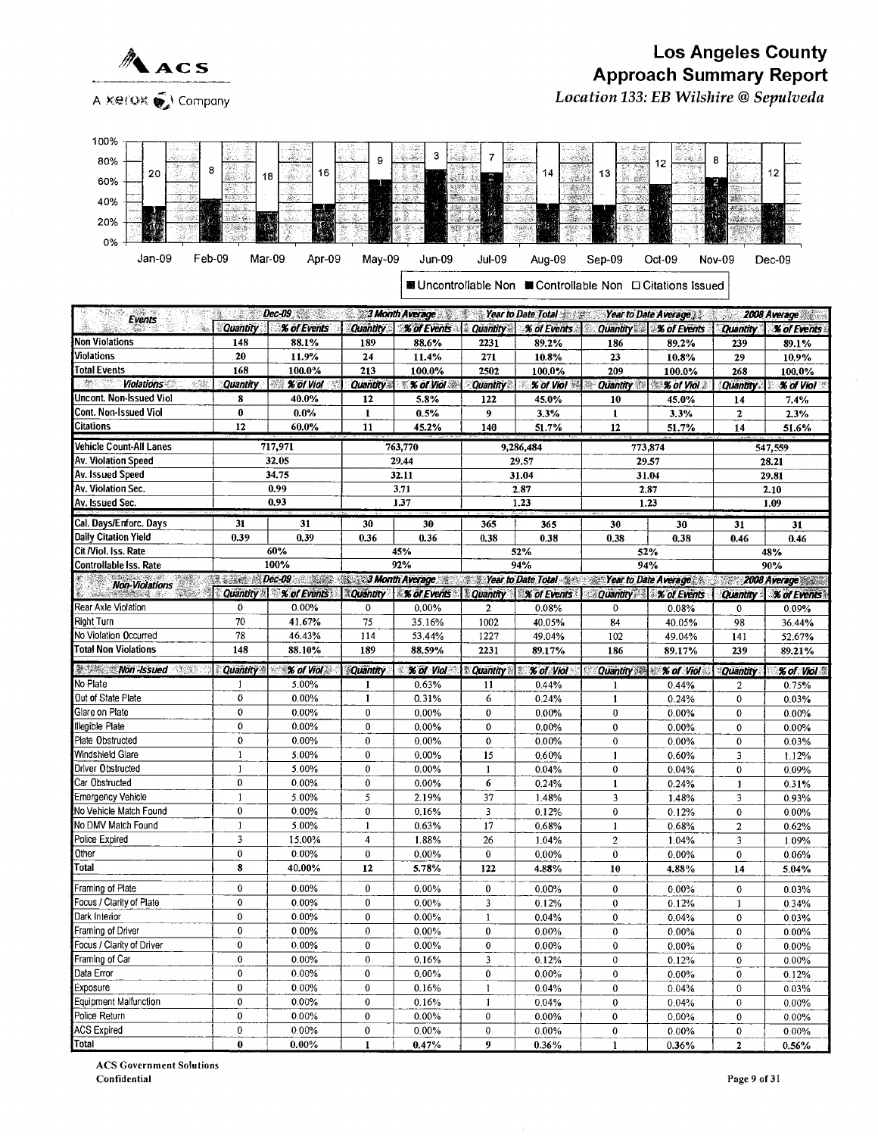

#### Los Angeles County  $\triangle_{\texttt{ACS}}$  Los Angeles County A ~~t°s~P ~~ Company Location 133: EB Wilshire @Sepulveda

| 100%                                               |                      |                        |                        |                                                                                                |                       |                                                            |                                 |                                       |                        |                     |
|----------------------------------------------------|----------------------|------------------------|------------------------|------------------------------------------------------------------------------------------------|-----------------------|------------------------------------------------------------|---------------------------------|---------------------------------------|------------------------|---------------------|
| 80%                                                |                      |                        | 9                      | 3<br>Ja.                                                                                       | 7                     |                                                            |                                 |                                       | 8                      |                     |
| 8<br>20                                            | 18                   | 16                     |                        | ಿಕ                                                                                             | 湯                     | 14<br>sidudi                                               | 13<br>4                         | 12                                    |                        | 12                  |
| 60%                                                |                      | Œ                      |                        |                                                                                                |                       | 2017                                                       |                                 |                                       |                        |                     |
| 40%                                                |                      | pp.                    |                        |                                                                                                |                       |                                                            |                                 |                                       | بمحمد                  |                     |
| 20%                                                |                      |                        |                        |                                                                                                |                       |                                                            |                                 |                                       |                        | ш                   |
|                                                    | te 1                 |                        |                        |                                                                                                |                       |                                                            |                                 |                                       |                        |                     |
| 0%                                                 |                      |                        |                        |                                                                                                |                       |                                                            |                                 |                                       |                        |                     |
| Jan-09<br>Feb-09                                   | Mar-09               | Apr-09                 | May-09                 | Jun-09                                                                                         | Jul-09                | Aug-09                                                     | $Sep-09$                        | Oct-09                                | Nov-09                 | Dec-09              |
|                                                    |                      |                        |                        |                                                                                                |                       | ■ Uncontrollable Non ■ Controllable Non □ Citations Issued |                                 |                                       |                        |                     |
|                                                    |                      |                        |                        |                                                                                                |                       |                                                            |                                 |                                       |                        |                     |
| Events                                             | 59. Q                | $Dec-09$               |                        | <b>3 Month Average State Sear to Date Total Average State Sear to Date Total Average State</b> |                       |                                                            |                                 | Year to Date Average                  |                        | 2008 Average        |
|                                                    | <b>Quantity</b>      | <b>% of Events</b>     | Quantity               | % of Events                                                                                    | <b>Quantity</b>       | % of Events                                                | <b>Quantity</b>                 | % of Events                           | Quantity               | <b>% of Events</b>  |
| <b>Non Violations</b>                              | 148                  | 88.1%                  | 189                    | 88.6%                                                                                          | 2231                  | 89.2%                                                      | 186                             | 89.2%                                 | 239                    | 89.1%               |
| Violations<br>Total Events                         | 20<br>168            | 11.9%<br>100.0%        | 24<br>213              | 11.4%<br>100.0%                                                                                | 271<br>2502           | 10.8%                                                      | 23<br>209                       | 10.8%                                 | 29                     | 10.9%               |
| $\mathcal{B}^+$<br><b>Violations</b>               | Quantity             | % of Viol              | <b>Quantity</b>        | $\frac{1}{2}$ % of Viol                                                                        | <b>Quantity</b>       | 100.0%<br>% of Viol                                        | <b>Quantity</b><br>3.           | 100.0%<br>$\approx$ % of Viol $\cdot$ | 268<br><b>Quantity</b> | 100.0%<br>% of Viol |
| Uncont. Non-Issued Viol                            | 8                    | 40.0%                  | 12                     | 5.8%                                                                                           | 122                   | 45.0%                                                      | 10                              | 45.0%                                 | 14                     | 7.4%                |
| <b>Cont. Non-Issued Viol</b>                       | $\bf{0}$             | 0.0%                   | $\mathbf{1}$           | 0.5%                                                                                           | 9                     | 3.3%                                                       | $\mathbf{1}$                    | 3.3%                                  | $\mathbf{2}$           | 2.3%                |
| <b>Citations</b>                                   | 12                   | 60.0%                  | 11                     | 45.2%                                                                                          | 140                   | 51.7%                                                      | 12                              | 51.7%                                 | 14                     | 51.6%               |
| Vehicle Count-All Lanes                            |                      | 717,971                |                        | 763,770                                                                                        |                       | 9,286,484                                                  | 773,874                         |                                       |                        | 547,559             |
| Av. Violation Speed                                |                      | 32.05                  |                        | 29.44                                                                                          |                       | 29.57                                                      |                                 | 29.57                                 |                        | 28.21               |
| Av. Issued Speed                                   |                      | 34.75                  |                        | 32.11                                                                                          |                       | 31.04                                                      |                                 | 31.04                                 |                        | 29.81               |
| Av. Violation Sec.                                 |                      | 0.99                   |                        | 3.71                                                                                           |                       | 2.87                                                       | 2.87                            |                                       |                        | 2.10                |
| Av. Issued Sec.                                    |                      | 0.93                   |                        | 1.37                                                                                           |                       | 1.23                                                       | 1.23                            |                                       |                        | 1.09                |
| Cal. Days/Enforc. Days                             | 31                   | 31                     | 30                     | 30                                                                                             | 365                   | 365                                                        | 30                              | 30                                    | 31                     | 31                  |
| Daily Citation Yield                               | 0.39                 | 0.39                   | 0.36                   | 0.36                                                                                           | 0.38                  | 0.38                                                       | 0,38                            | 0.38                                  | 0.46                   | 0.46                |
| Cit /Viol. Iss. Rate                               |                      | 60%                    |                        | 45%                                                                                            |                       | 52%                                                        | 52%                             |                                       |                        | 48%                 |
| <b>Controllable Iss. Rate</b>                      |                      | 100%                   |                        | 92%                                                                                            |                       | 94%                                                        | 94%                             |                                       |                        | 90%                 |
|                                                    |                      |                        |                        |                                                                                                |                       |                                                            |                                 |                                       |                        |                     |
| <b>Non-Violations</b>                              |                      | Dec-09 3 Month Average |                        |                                                                                                |                       | Year to Date Total Year to Date Average 2008 Average       |                                 |                                       |                        |                     |
|                                                    | <b>Quantity</b>      | % of Events            | Quantity               | <b><i>** of Events</i></b>                                                                     | <b>Quantity</b>       | <b>X</b> of Events                                         | <b>Quantity</b>                 | % of Events                           | <b>Quantity</b>        | <b>% of Events</b>  |
| Rear Axle Violation<br>Right Turn                  | $\bf{0}$<br>70       | 0.00%<br>41.67%        | 0<br>75                | 0.00%<br>35.16%                                                                                | $\overline{c}$        | 0.08%                                                      | 0<br>84                         | 0.08%                                 | 0                      | 0.09%               |
| No Violation Occurred                              | 78                   | 46.43%                 | 114                    | 53.44%                                                                                         | 1002<br>1227          | 40.05%<br>49.04%                                           | 102                             | 40.05%<br>49.04%                      | 98<br>141              | 36.44%<br>52.67%    |
| Total Non Violations                               | 148                  | 88.10%                 | 189                    | 88,59%                                                                                         | 2231                  | 89.17%                                                     | 186                             | 89.17%                                | 239                    | 89.21%              |
| <b><i>Mon-Issued</i></b>                           |                      |                        |                        |                                                                                                |                       |                                                            |                                 |                                       |                        |                     |
| No Plate                                           | <b>Quantity</b><br>1 | $%$ of Viol<br>5.00%   | <b>Quantity</b><br>1   | % of Viol<br>0.63%                                                                             | <b>Quantity</b><br>11 | % of <i>Viol</i><br>0.44%                                  | <b>Quantity</b><br>$\mathbf{1}$ | % of Viol<br>0.44%                    | Quantity<br>2          | % of Viol<br>0.75%  |
| Out of State Plate                                 | 0                    | 0.00%                  | $\mathbf{1}$           | 0.31%                                                                                          | 6                     | 0.24%                                                      | 1                               | 0.24%                                 | $\mathbf 0$            | 0.03%               |
| Glare on Plate                                     | $\mathbf{0}$         | 0.00%                  | 0                      | 0.00%                                                                                          | $\mathbf{0}$          | 0.00%                                                      | $\bf{0}$                        | 0.00%                                 | $\mathbf{0}$           | $0.00\%$            |
| Illegible Plate                                    | $\bf{0}$             | 0.00%                  | 0                      | $0.00\%$                                                                                       | $\bf{0}$              | 0.00%                                                      | $\bf{0}$                        | $0.00\%$                              | $\mathbf{0}$           | 0.00%               |
| Plate Obstructed                                   | $\mathbf 0$          | 0.00%                  | 0                      | 0.00%                                                                                          | $\mathbf{0}$          | 0.00%                                                      | $\bf{0}$                        | 0.00%                                 | $\bf{0}$               | 0.03%               |
| Windshield Glare                                   | $\mathbf{1}$         | 5.00%                  | 0                      | 0.00%                                                                                          | 15                    | 0.60%                                                      | $\mathbf{1}$                    | 0.60%                                 | 3                      | 1.12%               |
| Driver Obstructed                                  | $\mathbf{1}$         | 5.00%                  | $\mathbf{0}$           | 0.00%                                                                                          | $\mathbf{1}$          | 0.04%                                                      | $\bf{0}$                        | 0.04%                                 | $\mathbf 0$            | 0.09%               |
| Car Obstructed                                     | 0                    | 0.00%                  | 0                      | 0.00%                                                                                          | 6                     | 0.24%                                                      | 1                               | 0.24%                                 | 1                      | 0.31%               |
| <b>Emergency Vehicle</b><br>No Vehicle Match Found | $\mathbf{1}$<br>0    | 5.00%                  | 5<br>$\pmb{0}$         | 2.19%                                                                                          | 37                    | 1.48%                                                      | 3                               | 1.48%                                 | 3                      | 0.93%               |
| No DMV Match Found                                 | $\mathbf{1}$         | 0.00%<br>5.00%         | $\mathbf{1}$           | 0.16%<br>0.63%                                                                                 | 3<br>17               | 0.12%<br>0.68%                                             | $\pmb{0}$<br>$\mathbf{1}$       | 0.12%<br>0.68%                        | 0<br>$\boldsymbol{2}$  | 0.00%<br>0.62%      |
| Police Expired                                     | 3                    | 15.00%                 | 4                      | 1.88%                                                                                          | 26                    | 1.04%                                                      | $\mathbf 2$                     | 1.04%                                 | 3                      | 1.09%               |
| Other                                              | 0                    | 0.00%                  | 0                      | 0.00%                                                                                          | $\bf{0}$              | $0.00\%$                                                   | $\pmb{0}$                       | $0.00\%$                              | $\pmb{0}$              | 0.06%               |
| Total                                              | 8                    | 40.00%                 | 12                     | 5.78%                                                                                          | 122                   | 4.88%                                                      | 10                              | 4.88%                                 | 14                     | 5.04%               |
| Framing of Plate                                   | $\bf{0}$             | 0.00%                  | $\pmb{0}$              | 0.00%                                                                                          | $\bf{0}$              | 0.00%                                                      | $\pmb{0}$                       | $0.00\%$                              | 0                      | 0.03%               |
| Focus / Clarity of Plate                           | 0                    | 0.00%                  | $\pmb{0}$              | 0.00%                                                                                          | 3                     | 0.12%                                                      | $\bf{0}$                        | 0.12%                                 | $\mathbf{1}$           | 0.34%               |
| Dark Interior                                      | 0                    | 0.00%                  | 0                      | $0.00\%$                                                                                       | $\mathbf{1}$          | 0.04%                                                      | $\pmb{0}$                       | 0.04%                                 | $\pmb{0}$              | 0.03%               |
| Framing of Driver                                  | 0                    | 0.00%                  | $\pmb{0}$              | $0.00\%$                                                                                       | 0                     | $0.00\%$                                                   | 0                               | 0.00%                                 | $\pmb{0}$              | $0.00\%$            |
|                                                    | 0                    | 0.00%                  | $\pmb{0}$              | $0.00\%$                                                                                       | $\pmb{0}$             | 0.00%                                                      | $\pmb{0}$                       | $0.00\%$                              | $\pmb{0}$              | 0.00%               |
| Focus / Clarity of Driver<br>Framing of Car        | 0                    | 0.00%                  | $\pmb{0}$              | 0.16%                                                                                          | 3                     | 0.12%                                                      | 0                               | 0.12%                                 | $\pmb{0}$              | $0.00\%$            |
| Data Error                                         | 0                    | 0.00%                  | $\bf{0}$               | $0.00\%$                                                                                       | 0                     | $0.00\%$                                                   | $\pmb{0}$                       | $0.00\%$                              | $\pmb{0}$              | 0.12%               |
| Exposure                                           | 0                    | 0.00%                  | $\pmb{0}$              | 0.16%                                                                                          | $\mathbf{1}$          | 0.04%                                                      | $\pmb{0}$                       | 0.04%                                 | $\boldsymbol{0}$       | 0.03%               |
| Equipment Malfunction<br>Police Return             | 0<br>0               | 0.00%<br>0.00%         | $\pmb{0}$<br>$\pmb{0}$ | 0.16%<br>0.00%                                                                                 | 1<br>0                | 0.04%<br>0.00%                                             | 0<br>$\pmb{0}$                  | 0.04%<br>$0.00\%$                     | $\pmb{0}$<br>$\pmb{0}$ | 0.00%<br>0.00%      |

ACS Expired 0 0.00% 0 0.00% 0 0.00% 0 0.00% 0 0.00%  $\frac{3.60 \text{ m}}{10 \text{ rad}}$  0 0.00% 1 0.47% 9 0.36% 1 0.36% 2 0.56

ACS Government Solutions Confidential Page 9 of 31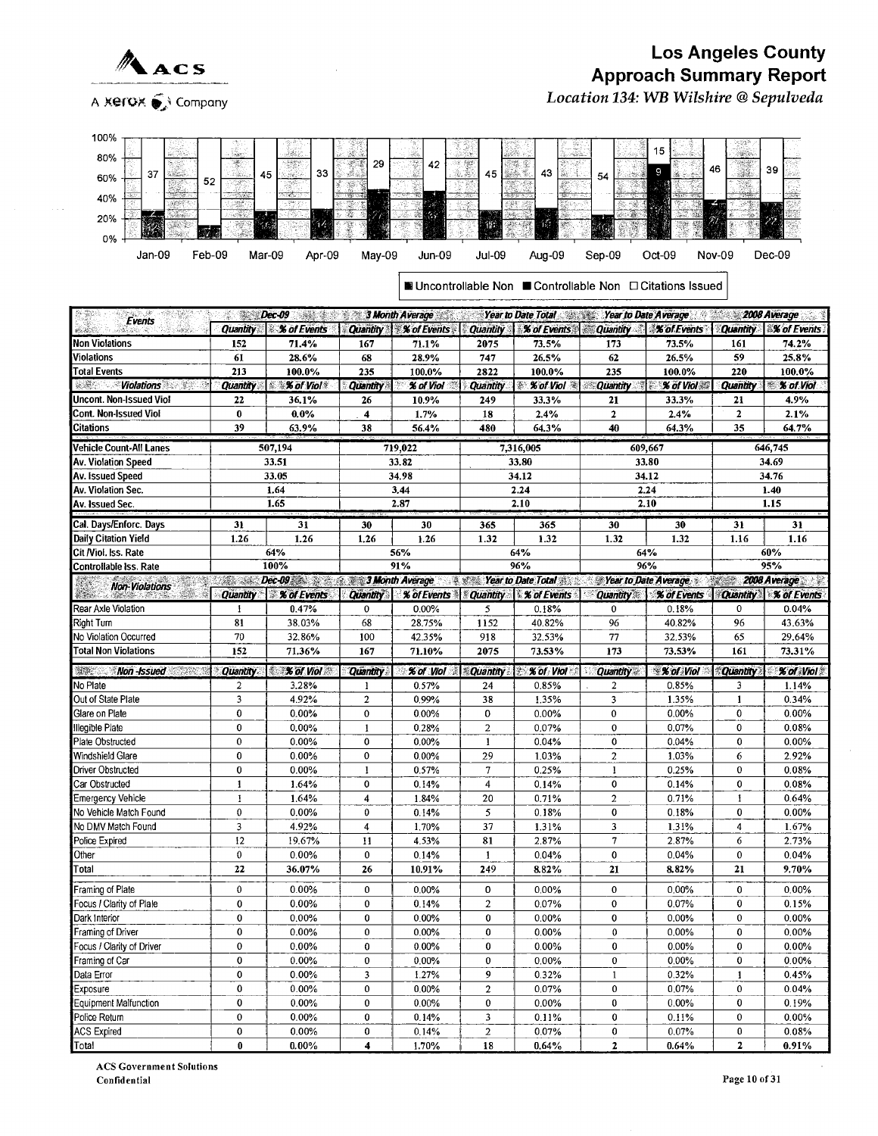

A Xerox  $\mathcal{C}$  Company

## Los Angeles County Approach Summary Report

Location 134: WB Wilshire @ Sepulveda



| <b>Events</b>                                       |                          | Dec 09 Dec 09 3 Month Average Vear to Date Total Vear to Date To Date Average 2008 Average |                          |                                                 |                                        |                                                                                    |                             |                             |                     |                      |
|-----------------------------------------------------|--------------------------|--------------------------------------------------------------------------------------------|--------------------------|-------------------------------------------------|----------------------------------------|------------------------------------------------------------------------------------|-----------------------------|-----------------------------|---------------------|----------------------|
|                                                     | <b>Quantity</b>          | <b>X</b> of Events                                                                         |                          | Quantity % of Events Quantity                   |                                        | <b>% of Events Quantity</b>                                                        |                             | $\frac{1}{2}$ % of Events   | <b>Quantity</b>     | <b>% of Events</b>   |
| <b>Non Violations</b>                               | 152                      | 71.4%                                                                                      | 167                      | 71.1%                                           | 2075                                   | 73.5%                                                                              | 173                         | 73.5%                       | 161                 | 74.2%                |
| <b>Violations</b>                                   | 61                       | 28.6%                                                                                      | 68                       | 28.9%                                           | 747                                    | 26.5%                                                                              | 62                          | 26.5%                       | 59                  | 25.8%                |
| <b>Total Events</b>                                 | 213                      | 100.0%                                                                                     | 235                      | 100.0%                                          | 2822                                   | 100.0%                                                                             | 235                         | 100.0%                      | 220                 | 100.0%               |
| <i><b>Violations</b></i><br>있어서 보내                  | <b>Quantity</b>          | $ $ $\mathcal X$ of Viol                                                                   | <b>Quantity</b>          | % of Viol                                       | <b>Quantity</b>                        | $% of Vol \approx$                                                                 | <b><i>Cuantity</i></b>      | $\mathcal X$ of Viol        |                     | Quantity   % of Viol |
| Uncont. Non-Issued Viol                             | 22                       | 36.1%                                                                                      | 26                       | 10.9%                                           | 249                                    | 33.3%                                                                              | 21                          | 33.3%                       | 21                  | 4.9%                 |
| Cont. Non-Issued Viol                               | $\pmb{0}$                | 0.0%                                                                                       | $\overline{\mathbf{4}}$  | 1.7%                                            | 18                                     | 2.4%                                                                               | $\overline{2}$              | 2.4%                        | $\overline{2}$      | 2.1%                 |
| <b>Citations</b>                                    | 39                       | 63.9%                                                                                      | 38                       | 56.4%                                           | 480                                    | 64.3%                                                                              | 40                          | 64.3%                       | 35                  | 64.7%                |
| <b>Vehicle Count-All Lanes</b>                      |                          | 507,194                                                                                    |                          | 719,022                                         |                                        | 7,316,005                                                                          |                             | 609,667                     |                     | 646,745              |
| Av. Violation Speed                                 |                          | 33.51                                                                                      |                          | 33.82                                           |                                        | 33.80                                                                              |                             | 33.80                       |                     | 34.69                |
| Av. Issued Speed                                    |                          | 33.05                                                                                      |                          | 34.98                                           |                                        | 34.12                                                                              |                             | 34.12                       |                     | 34.76                |
| Av. Violation Sec.                                  |                          | 1.64                                                                                       |                          | 3.44                                            |                                        | 2.24                                                                               |                             | 2.24                        |                     | 1.40                 |
| Av. Issued Sec.                                     |                          | 1.65                                                                                       |                          | 2.87                                            |                                        | 2.10                                                                               |                             | 2.10                        |                     | 1.15                 |
|                                                     |                          |                                                                                            |                          |                                                 |                                        |                                                                                    |                             |                             |                     |                      |
| Cal. Days/Enforc. Days                              | 31                       | 31                                                                                         | 30                       | 30                                              | 365                                    | 365                                                                                | 30                          | 30                          | 31                  | 31                   |
| <b>Daily Citation Yield</b><br>Cit /Viol. Iss. Rate | 1.26                     | 1.26<br>64%                                                                                | 1,26                     | 1.26<br>56%                                     | 1.32                                   | 1.32<br>64%                                                                        | 1.32                        | 1.32<br>64%                 | 1.16                | 1.16<br>60%          |
| Controllable Iss. Rate                              |                          | 100%                                                                                       |                          | 91%                                             |                                        | 96%                                                                                |                             | 96%                         |                     | 95%                  |
|                                                     |                          | Dec-09 3 3 Month Average                                                                   |                          |                                                 |                                        | <b>Sear to Date Total State Year to Date Average 3 2008 Average 3 2008 Average</b> |                             |                             |                     |                      |
| <b>Non-Violations</b>                               |                          | Quantity \ % of Events                                                                     |                          | Quantity   % of Events   Quantity   % of Events |                                        |                                                                                    |                             | Quantity <b>X</b> of Events |                     | Quantity % of Events |
| Rear Axle Violation                                 | $\mathbf{1}$             | 0.47%                                                                                      | $\mathbf{0}$             | 0.00%                                           | 5                                      | 0.18%                                                                              | $\pmb{0}$                   | 0.18%                       | $\mathbf{0}$        | 0.04%                |
| Right Turn                                          | 81                       | 38.03%                                                                                     | 68                       | 28.75%                                          | 1152                                   | 40.82%                                                                             | 96                          | 40.82%                      | 96                  | 43.63%               |
| No Violation Occurred                               | 70                       | 32.86%                                                                                     | 100                      | 42.35%                                          | 918                                    | 32.53%                                                                             | 77                          | 32.53%                      | 65                  | 29.64%               |
| <b>Total Non Violations</b>                         | 152                      | 71.36%                                                                                     | 167                      | 71.10%                                          | 2075                                   | 73.53%                                                                             | 173                         | 73.53%                      | 161                 | 73.31%               |
|                                                     |                          |                                                                                            |                          |                                                 |                                        |                                                                                    |                             |                             |                     |                      |
| <b>Mon-Issued</b><br>Seren di                       | <b>Quantity</b>          | <b>X</b> of Viol                                                                           | <b>Quantity</b>          | % of Viol                                       | <b>Quantity</b>                        | % of Viol                                                                          | <b>Quantity</b>             | <b>% of Viol</b>            | <b>Quantity</b>     | % of Viol            |
| No Plate                                            | $\overline{\mathbf{2}}$  | 3.28%                                                                                      | $\mathbf{1}$             | 0.57%                                           | 24                                     | 0.85%                                                                              | 2                           | 0.85%                       | 3                   | 1.14%                |
| Out of State Plate                                  | $\overline{\mathbf{3}}$  | 4.92%                                                                                      | $\sqrt{2}$               | 0.99%                                           | 38                                     | 1.35%                                                                              | 3                           | 1.35%                       | $\mathbf{1}$        | 0.34%                |
| Glare on Plate                                      | $\bf{0}$                 | 0.00%                                                                                      | $\mathbf 0$              | 0.00%                                           | 0                                      | 0.00%                                                                              | $\bf{0}$                    | 0.00%                       | 0                   | 0.00%                |
| Illegible Plate                                     | $\pmb{0}$<br>$\mathbf 0$ | 0.00%                                                                                      | $\mathbf{1}$<br>$\bf{0}$ | 0.28%                                           | $\overline{a}$                         | 0.07%                                                                              | $\mathbf 0$<br>$\mathbf 0$  | 0.07%                       | 0<br>$\overline{0}$ | 0.08%                |
| Plate Obstructed                                    | $\bf{0}$                 | 0.00%<br>0.00%                                                                             | $\mathbf{0}$             | 0.00%                                           | $\mathbf{1}$                           | 0.04%                                                                              |                             | 0.04%<br>1.03%              |                     | 0.00%<br>2.92%       |
| Windshield Glare<br><b>Driver Obstructed</b>        | $\mathbf 0$              | 0.00%                                                                                      | $\mathbf{1}$             | 0.00%<br>0.57%                                  | 29<br>7                                | 1.03%<br>0.25%                                                                     | $\mathbf 2$<br>$\mathbf{1}$ | 0.25%                       | 6<br>$\mathbf 0$    | 0.08%                |
| Car Obstructed                                      | $\mathbf{1}$             | 1.64%                                                                                      | $\bf{0}$                 | 0.14%                                           | $\overline{4}$                         | 0.14%                                                                              | $\bf{0}$                    | 0.14%                       | 0                   | 0.08%                |
| <b>Emergency Vehicle</b>                            | $\mathbf{I}$             | 1.64%                                                                                      | 4                        | 1.84%                                           | 20                                     | 0.71%                                                                              | $\overline{a}$              | 0.71%                       | $\mathbf{I}$        | 0.64%                |
| No Vehicle Match Found                              | $\mathbf{0}$             | 0.00%                                                                                      | $\mathbf{0}$             | 0.14%                                           | 5                                      | 0.18%                                                                              | $\mathbf 0$                 | 0.18%                       | 0                   | 0.00%                |
| No DMV Match Found                                  | 3                        | 4.92%                                                                                      | $\overline{4}$           | 1.70%                                           | 37                                     | 1.31%                                                                              | 3                           | 1.31%                       | 4                   | 1.67%                |
| Police Expired                                      | 12                       | 19.67%                                                                                     | 11                       | 4.53%                                           | 81                                     | 2.87%                                                                              | $\overline{7}$              | 2.87%                       | 6                   | 2.73%                |
| Other                                               | $\mathbf 0$              | 0.00%                                                                                      | $\mathbf{0}$             | 0.14%                                           | $\mathbf{1}$                           | 0.04%                                                                              | $\mathbf 0$                 | 0.04%                       | $\mathbf 0$         | 0.04%                |
| Total                                               | 22                       | 36.07%                                                                                     | 26                       | 10.91%                                          | 249                                    | 8.82%                                                                              | 21                          | 8.82%                       | 21                  | 9.70%                |
|                                                     |                          |                                                                                            |                          |                                                 |                                        |                                                                                    |                             |                             |                     |                      |
| Framing of Plate                                    | $\mathbf{0}$             | 0.00%                                                                                      | $\bf{0}$                 | 0.00%                                           | 0                                      | 0.00%                                                                              | $\mathbf 0$                 | 0.00%                       | $\mathbf 0$         | 0.00%                |
| Focus / Clarity of Plale                            | $\mathbf 0$              | 0.00%                                                                                      | $\bf{0}$                 | 0.14%                                           | $\overline{a}$                         | 0.07%                                                                              | $\mathbf 0$                 | 0.07%                       | 0                   | 0.15%                |
| Dark Interior                                       | $\bf{0}$                 | 0.00%                                                                                      | $\pmb{0}$                | 0.00%                                           | 0                                      | 0.00%                                                                              | $\mathbf 0$                 | 0.00%                       | $\overline{0}$      | 0.00%                |
| Framing of Driver                                   | 0                        | 0.00%                                                                                      | $\bf{0}$                 | 0.00%                                           | 0                                      | 0.00%                                                                              | $\mathbf{0}$                | 0.00%                       | 0                   | 0.00%                |
| Focus / Clarity of Driver                           | 0                        | 0.00%                                                                                      | $\pmb{0}$                | 0.00%                                           | 0                                      | $0.00\%$                                                                           | 0                           | 0.00%                       | 0                   | 0.00%                |
| Framing of Car                                      | 0                        | 0.00%                                                                                      | $\mathbf{0}$             | 0.00%                                           | $\mathbf 0$                            | 0.00%                                                                              | $\mathbf{0}$                | $0.00\%$                    | 0                   | 0.00%                |
| Data Error                                          | $\mathbf 0$              | 0.00%                                                                                      | 3                        | 1.27%                                           | 9                                      | 0.32%                                                                              | $\mathbf{1}$                | 0.32%                       | $\mathbf{1}$        | 0.45%                |
| Exposure                                            | $\bf{0}$<br>0            | 0.00%                                                                                      | $\pmb{0}$                | 0.00%                                           | $\overline{a}$                         | 0.07%                                                                              | $\bf{0}$<br>$\mathbf 0$     | 0.07%                       | 0<br>0              | 0.04%                |
| Equipment Malfunction                               | $\mathbf 0$              | 0.00%                                                                                      | $\mathbf 0$<br>$\pmb{0}$ | 0.00%                                           | $\mathbf 0$<br>$\overline{\mathbf{3}}$ | 0.00%                                                                              | 0                           | 0.00%                       | 0                   | 0.19%<br>0.00%       |
| Police Return<br><b>ACS Expired</b>                 | 0                        | 0.00%<br>0.00%                                                                             | 0                        | 0.14%<br>0.14%                                  | $\mathbf 2$                            | 0.11%<br>0.07%                                                                     | 0                           | 0.11%<br>0.07%              | 0                   | 0.08%                |
|                                                     | $\bf{0}$                 |                                                                                            | 4                        |                                                 | 18                                     |                                                                                    | $\mathbf 2$                 |                             | $\mathbf{z}$        | 0.91%                |
| <b>Total</b>                                        |                          | $0.00\%$                                                                                   |                          | 1.70%                                           |                                        | $0.64\%$                                                                           |                             | 0.64%                       |                     |                      |

ACS Government Solutions Confidential Paee 10 of 31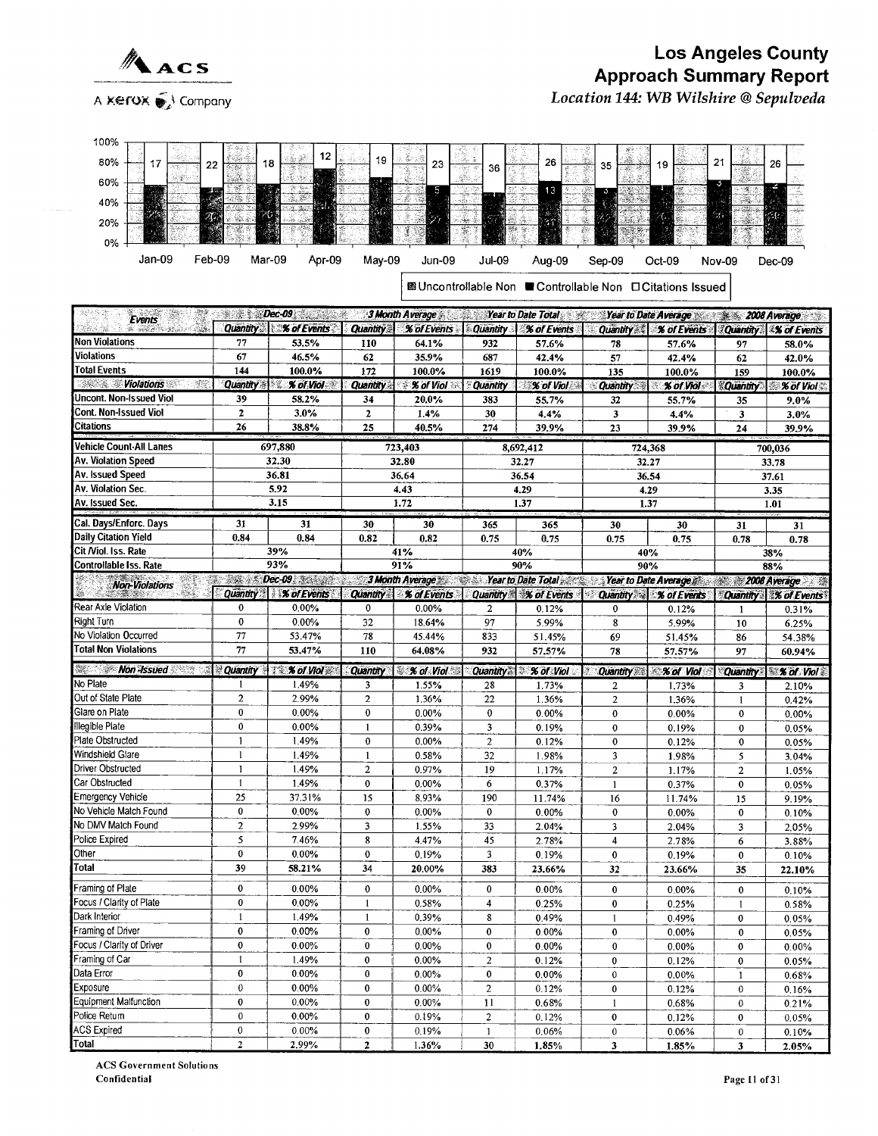

100%

#### Los Angeles County Approach Summary Report Location 144: WB Wilshire @ Sepulveda

| 80%<br>17<br>22                                    |                         | 18                                                                 | 19                                  | 23                | 36               | 26                                                                         | 35                 | 19                                | 21                | 26                         |
|----------------------------------------------------|-------------------------|--------------------------------------------------------------------|-------------------------------------|-------------------|------------------|----------------------------------------------------------------------------|--------------------|-----------------------------------|-------------------|----------------------------|
| 60%                                                |                         |                                                                    |                                     |                   |                  |                                                                            |                    |                                   |                   |                            |
|                                                    |                         | $\mathbb{R}$ , $\mathbb{R}^m$                                      |                                     | 5                 |                  | 13                                                                         | 冨                  |                                   |                   |                            |
| 40%                                                |                         | G)                                                                 | 36                                  |                   |                  |                                                                            |                    |                                   |                   |                            |
| 20%                                                |                         |                                                                    |                                     |                   |                  |                                                                            | $\mathcal{U}$      |                                   |                   |                            |
| 0%                                                 |                         |                                                                    |                                     |                   |                  |                                                                            |                    |                                   |                   |                            |
|                                                    |                         |                                                                    |                                     |                   |                  |                                                                            |                    |                                   |                   |                            |
| Feb-09<br>Jan-09                                   |                         | Mar-09<br>Apr-09                                                   | May-09                              | <b>Jun-09</b>     | Jul-09           | Aug-09                                                                     | Sep-09             | Oct-09                            | <b>Nov-09</b>     | Dec-09                     |
|                                                    |                         |                                                                    |                                     |                   |                  |                                                                            |                    |                                   |                   |                            |
|                                                    |                         |                                                                    |                                     |                   |                  | 國Uncontrollable Non ■ Controllable Non □ Citations Issued                  |                    |                                   |                   |                            |
| $\mathcal{F}^{\mathcal{A}}$                        |                         | <b>まます。Dec-09 ままの表現</b>                                            |                                     | 3 Month Average   |                  | <b>Sear to Date Total Sear to Date Average Search Sear to Date Average</b> |                    |                                   |                   | <b>Excess 2008 Average</b> |
| Events<br>- 10                                     | <b>Quantity</b>         | % of Events                                                        | <b>Quantity</b>                     | % of Events       | <b>Quantity</b>  | % of Events                                                                | <b>Quantity</b>    | % of Events                       | <b>Quantity</b>   | <b><i>X</i></b> of Events  |
| Non Violations                                     | 77                      | 53.5%                                                              | 110                                 | 64.1%             | 932              | 57.6%                                                                      | 78                 | 57.6%                             | 97                | 58.0%                      |
| Violations                                         | 67                      | 46.5%                                                              | 62                                  | 35.9%             | 687              | 42.4%                                                                      | 57                 | 42.4%                             | 62                | 42.0%                      |
| Total Events                                       | 144                     | 100.0%                                                             | 172                                 | 100.0%            | 1619             | 100.0%                                                                     | 135                | 100.0%                            | 159               | 100.0%                     |
| <b>Wiolations</b>                                  | <b>Quantity</b>         | % of Viol                                                          | <b>Quantity</b>                     | % of Viol<br>濠    | <b>Quantity</b>  | % of Viol                                                                  | Quantity           | % of Viol                         | Quantity          | % of Viol                  |
| Uncont. Non-Issued Viol                            | 39                      | 58.2%                                                              | 34                                  | 20.0%             | 383              | 55.7%                                                                      | 32                 | 55.7%                             | 35                | 9.0%                       |
| Cont. Non-Issued Viol                              | $\mathbf{2}$            | 3.0%                                                               | $\overline{2}$                      | 1.4%              | 30               | 4.4%                                                                       | 3                  | 4.4%                              | 3                 | 3.0%                       |
| Citations                                          | 26                      | 38.8%                                                              | 25                                  | 40.5%             | 274              | 39.9%                                                                      | 23                 | 39.9%                             | 24                | 39.9%                      |
| Vehicle Count-All Lanes                            |                         | 697,880                                                            |                                     |                   |                  |                                                                            |                    |                                   |                   |                            |
| <b>Av. Violation Speed</b>                         |                         | 32.30                                                              |                                     | 723,403           |                  | 8,692,412                                                                  |                    | 724,368                           |                   | 700,036                    |
| Av. Issued Speed                                   |                         | 36.81                                                              |                                     | 32.80<br>36.64    |                  | 32.27<br>36.54                                                             |                    | 32.27                             |                   | 33.78                      |
| Av. Violation Sec.                                 |                         | 5.92                                                               |                                     | 4.43              |                  | 4.29                                                                       |                    | 36.54<br>4.29                     |                   | 37.61                      |
| Av. Issued Sec.                                    |                         | 3.15                                                               |                                     | 1.72              |                  | 1.37                                                                       | 1.37               |                                   |                   | 3.35<br>1.01               |
|                                                    |                         |                                                                    |                                     |                   |                  |                                                                            |                    |                                   |                   |                            |
| Cal. Days/Enforc. Days                             | 31                      | 31                                                                 | 30                                  | 30                | 365              | 365                                                                        | 30                 | 30                                | 31                | 31                         |
| Daily Citation Yield                               | 0.84                    | 0.84                                                               | 0.82                                | 0.82              | 0.75             | 0.75                                                                       | 0.75               | 0.75                              | 0.78              | 0.78                       |
| Cit /Viol. Iss. Rate                               |                         | 39%                                                                |                                     | 41%               |                  | 40%                                                                        | 40%                |                                   |                   | 38%                        |
| <b>Controllable Iss. Rate</b>                      |                         | 93%                                                                |                                     | 91%               |                  | 90%                                                                        | 90%                |                                   |                   | 88%                        |
| <b>Non-Violations</b>                              | Quantity                | <b>Dec-09 <i>Resident</i></b><br><b><i>Met &amp; of Events</i></b> |                                     | 3 Month Average   |                  | <b>Year to Date Total</b>                                                  |                    | Year to Date Average 2008 Average |                   |                            |
|                                                    |                         |                                                                    | <b>Quantity</b>                     | % of Events       |                  | Quantity & S of Events                                                     |                    | <b>Quantity &amp; % of Events</b> |                   | Quantity   % of Events     |
|                                                    |                         |                                                                    |                                     |                   |                  |                                                                            |                    |                                   |                   |                            |
| Rear Axle Violation                                | 0                       | 0.00%                                                              | 0                                   | $0.00\%$          | 2                | 0.12%                                                                      | 0                  | 0.12%                             | 1                 | 0.31%                      |
| Right Turn                                         | $\mathbf 0$             | 0.00%                                                              | 32                                  | 18.64%            | 97               | 5.99%                                                                      | 8                  | 5.99%                             | 10                | 6.25%                      |
| No Violation Occurred                              | 77                      | 53.47%                                                             | 78                                  | 45.44%            | 833              | 51.45%                                                                     | 69                 | 51.45%                            | 86                | 54.38%                     |
| Total Non Violations                               | 77                      | 53.47%                                                             | 110                                 | 64.08%            | 932              | 57.57%                                                                     | 78                 | 57.57%                            | 97                | 60.94%                     |
| <b>Mon-Issued</b>                                  | Quantity                | <b>TEX of Viol #</b>                                               | <b>Quantity</b>                     | <b>X</b> of Viol  | <b>Quantity</b>  | <b>% of Viol</b>                                                           | <b>Quantity</b>    | <b>X of Viol</b>                  | <b>Quantity</b>   | <b>% of Viol</b>           |
| No Plate                                           | -1                      | 1.49%                                                              | 3                                   | 1.55%             | 28               | 1.73%                                                                      | 2                  | 1.73%                             | 3                 | 2.10%                      |
| Out of State Plate                                 | $\overline{\mathbf{c}}$ | 2.99%                                                              | $\overline{c}$                      | 1.36%             | 22               | 1.36%                                                                      | $\overline{c}$     | 1.36%                             | 1                 | 0.42%                      |
| Glare on Plate                                     | $\mathbf 0$             | 0.00%                                                              | 0                                   | 0.00%             | $\bf{0}$         | 0.00%                                                                      | $\mathbf 0$        | 0.00%                             | 0                 | 0.00%                      |
| <b>Illegible Plate</b>                             | $\pmb{0}$               | 0.00%                                                              | 1                                   | 0.39%             | 3                | 0.19%                                                                      | 0                  | 0.19%                             | 0                 | 0.05%                      |
| Plate Obstructed                                   | $\mathbf{1}$            | 1.49%                                                              | $\bf{0}$                            | 0.00%             | $\overline{c}$   | 0.12%                                                                      | 0                  | 0.12%                             | 0                 | 0.05%                      |
| Windshield Glare                                   | $\mathbf{1}$            | 1.49%                                                              | 1                                   | 0.58%             | 32               | 1.98%                                                                      | 3                  | 1.98%                             | 5                 | 3.04%                      |
| Driver Obstructed<br>Car Obstructed                | 1<br>$\mathbf{1}$       | 1.49%                                                              | $\overline{\mathbf{c}}$<br>$\bf{0}$ | 0.97%             | 19               | 1.17%                                                                      | 2                  | 1.17%                             | $\overline{2}$    | 1.05%                      |
|                                                    | 25                      | 1.49%<br>37.31%                                                    | 15                                  | 0.00%<br>8.93%    | 6<br>190         | 0.37%<br>11.74%                                                            | $\mathbf{1}$<br>16 | 0.37%<br>11.74%                   | $\mathbf 0$<br>15 | 0.05%                      |
| <b>Emergency Vehicle</b><br>No Vehicle Match Found | 0                       | 0.00%                                                              | 0                                   | 0.00%             | $\pmb{0}$        | 0.00%                                                                      | 0                  | 0.00%                             | 0                 | 9.19%                      |
| No DMV Match Found                                 | $\overline{2}$          | 2.99%                                                              | 3                                   | 1.55%             | 33               | 2.04%                                                                      | 3                  | 2.04%                             | 3                 | 0.10%<br>2.05%             |
| Police Expired                                     | 5                       | 7.46%                                                              | 8                                   | 4.47%             | 45               | 2.78%                                                                      | 4                  | 2.78%                             | 6                 | 3.88%                      |
| Other                                              | $\pmb{0}$               | 0.00%                                                              | $\mathbf 0$                         | 0.19%             | $\mathbf{3}$     | 0.19%                                                                      | $\bf{0}$           | 0.19%                             | $\mathbf 0$       | 0.10%                      |
| Total                                              | 39                      | 58.21%                                                             | 34                                  | 20.00%            | 383              | 23.66%                                                                     | 32                 | 23.66%                            | 35                | 22.10%                     |
|                                                    |                         |                                                                    |                                     |                   |                  |                                                                            |                    |                                   |                   |                            |
| Framing of Plate                                   | $\pmb{0}$               | 0.00%                                                              | $\mathbf 0$                         | 0.00%             | $\bf{0}$         | 0.00%                                                                      | $\bf{0}$           | 0.00%                             | 0                 | 0.10%                      |
| Focus / Clarity of Plate<br>Dark Interior          | $\pmb{0}$<br>1          | 0.00%<br>1.49%                                                     | $\mathbf{1}$<br>$\mathbf{1}$        | 0.58%             | $\overline{4}$   | 0.25%                                                                      | 0                  | 0.25%                             | $\mathbf{1}$      | 0.58%                      |
| Framing of Driver                                  | $\pmb{0}$               | 0.00%                                                              | $\pmb{0}$                           | 0.39%<br>$0.00\%$ | 8<br>$\bf{0}$    | 0.49%                                                                      | $\mathbf{1}$<br>0  | 0.49%                             | $\pmb{0}$         | 0.05%                      |
| Focus / Clarity of Driver                          | $\pmb{0}$               | 0.00%                                                              | $\pmb{0}$                           | 0.00%             | $\mathbf 0$      | $0.00\%$<br>$0.00\%$                                                       | 0                  | $0.00\%$<br>0.00%                 | 0<br>$\pmb{0}$    | 0.05%                      |
| Framing of Car                                     | 1                       | 1.49%                                                              | 0                                   | 0.00%             | $\overline{c}$   | 0.12%                                                                      | 0                  | 0.12%                             | $\pmb{0}$         | $0.00\%$                   |
| Data Error                                         | $\pmb{0}$               | 0.00%                                                              | 0                                   | $0.00\%$          | $\pmb{0}$        | $0.00\%$                                                                   | 0                  | 0.00%                             | 1                 | 0.05%<br>0.68%             |
| Exposure                                           | $\pmb{0}$               | 0.00%                                                              | 0                                   | $0.00\%$          | $\overline{2}$   | 0.12%                                                                      | 0                  | 0.12%                             | $\pmb{0}$         | 0.16%                      |
| Equipment Malfunction                              | 0                       | 0.00%                                                              | $\pmb{0}$                           | $0.00\%$          | 11               | 0.68%                                                                      | $\mathbf{1}$       | 0.68%                             | 0                 | 0.21%                      |
| Police Return                                      | $\boldsymbol{0}$        | $0.00\%$                                                           | 0                                   | 0.19%             | $\boldsymbol{2}$ | 0.12%                                                                      | $\pmb{0}$          | 0.12%                             | $\pmb{0}$         | 0.05%                      |
| ACS Expired<br>Total                               | 0<br>$\mathbf{2}$       | 0.00%<br>2.99%                                                     | 0                                   | 0.19%             | $\mathbf{1}$     | 0.06%                                                                      | $\pmb{0}$          | 0.06%                             | 0                 | 0.10%                      |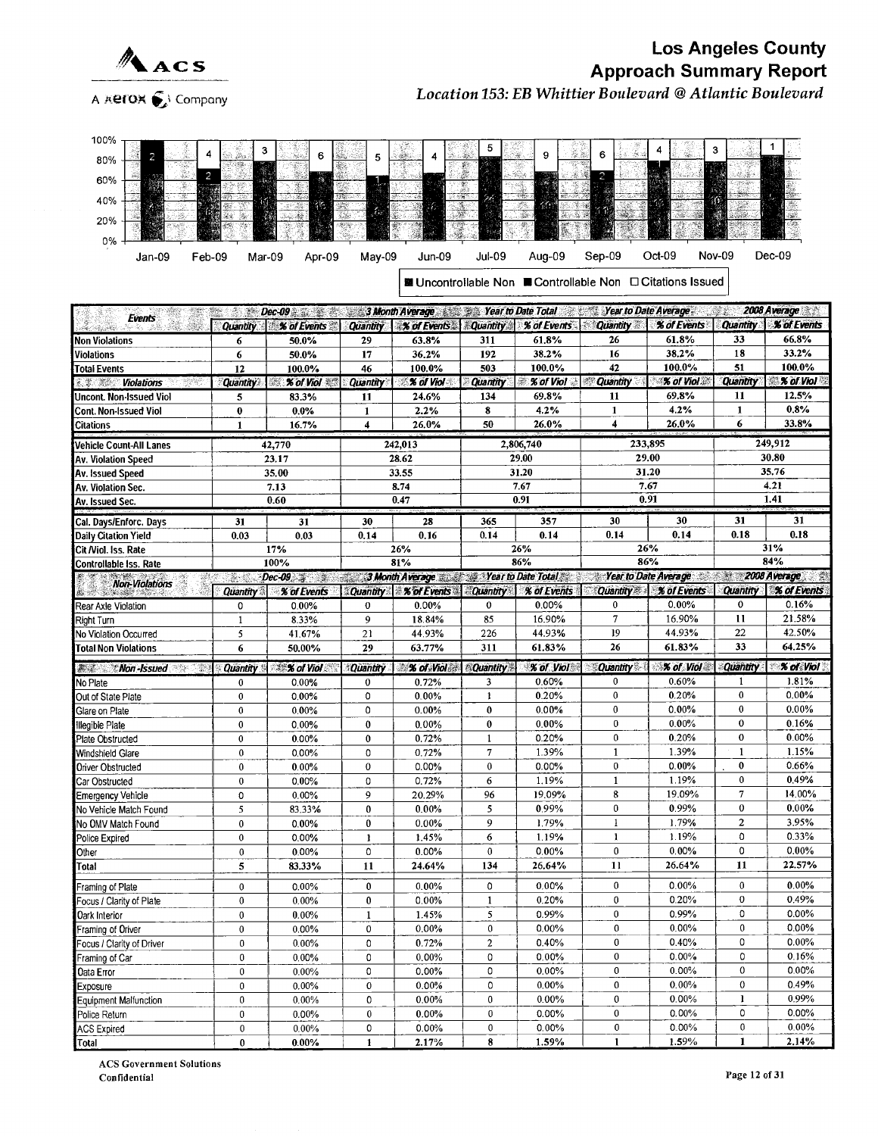



A  $\overline{\mathcal{A}}$   $\overline{\mathcal{A}}$  Company Location 153: EB Whittier Boulevard @ Atlantic Boulevard



| ■ Uncontrollable Non ■ Controllable Non □ Citations Issued |  |
|------------------------------------------------------------|--|
|                                                            |  |

|                                       |                 | <b>Example 2009 Control of the Search Date Total Search Date Total Search Date Average 2009 Average</b> |                     |                                         |                  |                       |                                                                      |             |                     |                        |
|---------------------------------------|-----------------|---------------------------------------------------------------------------------------------------------|---------------------|-----------------------------------------|------------------|-----------------------|----------------------------------------------------------------------|-------------|---------------------|------------------------|
| <b>Events</b><br>$\sim 10$            |                 | Quantity % of Events                                                                                    |                     | Quantity   % of Events   Quantity       |                  |                       | % of Events   Quantity                                               | % of Events | <b>Quantity</b>     | <b>% of Events</b>     |
| Non Violations                        | 6               | 50.0%                                                                                                   | 29                  | 63.8%                                   | 311              | 61,8%                 | 26                                                                   | 61.8%       | 33                  | 66.8%                  |
| Violations                            | $6\phantom{1}6$ | 50.0%                                                                                                   | 17                  | 36.2%                                   | 192              | 38.2%                 | 16                                                                   | 38.2%       | 18                  | 33.2%                  |
| <b>Total Events</b>                   | 12              | 100.0%                                                                                                  | 46                  | 100.0%                                  | 503              | 100.0%                | 42                                                                   | 100.0%      | 51                  | 100.0%                 |
| <b><i>C. S. S. Violations</i></b>     | <b>Quantity</b> | $\mathbb{Z}$ $\mathbb{Z}$ of Viol                                                                       | <b>Quantity</b>     | % of Viol                               | <b>Quantity</b>  | <b>% of Viol</b><br>躟 | <b>Quantity</b>                                                      | % of Viol   | <b>Quantity</b>     | <b>X</b> of Viol       |
| Uncont. Non-Issued Viol               | 5               | 83.3%                                                                                                   | 11                  | 24.6%                                   | 134              | 69.8%                 | 11                                                                   | 69.8%       | 11                  | 12.5%                  |
| <b>Cont. Non-Issued Viol</b>          | $\bf{0}$        | 0.0%                                                                                                    | $\mathbf{1}$        | 2.2%                                    | 8                | 4.2%                  | $\mathbf{1}$                                                         | 4.2%        | $\mathbf{1}$        | 0.8%                   |
| Citations                             | $\mathbf{1}$    | 16.7%                                                                                                   | $\overline{\bf{4}}$ | 26.0%                                   | 50               | 26.0%                 | $\overline{4}$                                                       | 26.0%       | 6                   | 33.8%                  |
| <b>Vehicle Count-All Lanes</b>        |                 | 42,770                                                                                                  |                     | 242,013                                 |                  | 2,806,740             | 233,895                                                              |             |                     | 249,912                |
| Av. Violation Speed                   |                 | 23.17                                                                                                   |                     | 28.62                                   |                  | 29.00                 | 29.00                                                                |             |                     | 30.80                  |
| Av. Issued Speed                      |                 | 35,00                                                                                                   |                     | 33.55                                   |                  | 31.20                 |                                                                      | 31.20       |                     | 35.76                  |
| Av. Violation Sec.                    |                 | 7.13                                                                                                    |                     | 8.74                                    |                  | 7.67                  | 7.67                                                                 |             |                     | 4.21                   |
| Av. Issued Sec.                       |                 | 0.60                                                                                                    |                     | 0.47                                    |                  | 0.91                  | 0.91                                                                 |             |                     | 1.41                   |
| Cal. Days/Enforc. Days                | 31              |                                                                                                         | 30                  | 28                                      |                  | 357                   | 30                                                                   | 30          | 31                  | 31                     |
| Daily Citation Yield                  | 0.03            | 31<br>0.03                                                                                              | 0.14                | 0.16                                    | 365<br>0.14      | 0.14                  | 0.14                                                                 | 0.14        | 0.18                | 0.18                   |
| Cit /Viol. Iss. Rate                  |                 | 17%                                                                                                     |                     | 26%                                     |                  | 26%                   | 26%                                                                  |             |                     | 31%                    |
| Controllable Iss. Rate                |                 | 100%                                                                                                    |                     | 81%                                     |                  | 86%                   | 86%                                                                  |             |                     | 84%                    |
|                                       | 25              | $Dec-09$ $\rightarrow$                                                                                  |                     |                                         |                  |                       | 3 Month Average Year to Date Total Year to Date Average 2008 Average |             |                     |                        |
| <b>Non-Violations</b>                 | <b>Quantity</b> | % of Events                                                                                             | <b>Quantity</b>     | $\mathscr{C}$ of Events $\Box$ Quantity |                  |                       | % of Events Quantity X of Events                                     |             |                     | Quantity \ % of Events |
| Rear Axle Violation                   | 0               | 0.00%                                                                                                   | $\bf{0}$            | $0.00\%$                                | $\bf{0}$         | 0.00%                 | $\bf{0}$                                                             | 0.00%       | $\bf{0}$            | 0.16%                  |
| Right Turn                            | $\mathbf{1}$    | 8.33%                                                                                                   | 9                   | 18.84%                                  | 85               | 16.90%                | $\overline{7}$                                                       | 16.90%      | 11                  | 21.58%                 |
| No Violation Occurred                 | 5               | 41.67%                                                                                                  | 21                  | 44.93%                                  | 226              | 44.93%                | 19                                                                   | 44.93%      | 22                  | 42.50%                 |
| <b>Total Non Violations</b>           | 6               | 50,00%                                                                                                  | 29                  | 63.77%                                  | 311              | 61.83%                | 26                                                                   | 61.83%      | 33                  | 64.25%                 |
| <b><i><b>Allen</b></i> Mon-Issued</b> | <b>Quantity</b> | $\mathscr{K}$ of Viol                                                                                   | Quantity            | $\approx$ 36 Moles                      | <b>Quantity</b>  | % of Viol             | <b>Quantity</b>                                                      | % of Viol   | <b>Quantity</b>     | % of Viol              |
| No Plate                              | 0               | 0.00%                                                                                                   | 0                   | 0.72%                                   | 3                | 0.60%                 | 0                                                                    | 0.60%       | $\mathbf{1}$        | 1.81%                  |
| Out of State Plate                    | $\mathbf{0}$    | 0.00%                                                                                                   | 0                   | $0.00\%$                                | $\mathbf{1}$     | 0.20%                 | $\bf{0}$                                                             | 0.20%       | $\bf{0}$            | 0.00%                  |
| Glare on Plate                        | $\bf{0}$        | $0.00\%$                                                                                                | 0                   | 0.00%                                   | $\bf{0}$         | 0.00%                 | $\mathbf{0}$                                                         | $0.00\%$    | $\mathbf{0}$        | $0.00\%$               |
| Illegible Plate                       | $\bf{0}$        | 0.00%                                                                                                   | $\bf{0}$            | 0.00%                                   | $\bf{0}$         | 0.00%                 | $\pmb{0}$                                                            | 0.00%       | $\pmb{0}$           | 0.16%                  |
| Plate Obstructed                      | $\mathbf{0}$    | $0.00\%$                                                                                                | $\bf{0}$            | 0.72%                                   | $\mathbf{1}$     | 0.20%                 | $\pmb{0}$                                                            | 0.20%       | $\mathbf 0$         | 0.00%                  |
| Windshield Glare                      | $\pmb{0}$       | 0.00%                                                                                                   | 0                   | 0.72%                                   | $\boldsymbol{7}$ | 1.39%                 | $\mathbf{1}$                                                         | 1.39%       | $\mathbf{1}$        | 1.15%                  |
| Oriver Obstructed                     | $\bf{0}$        | $0.00\%$                                                                                                | $\mathbf 0$         | 0.00%                                   | $\bf{0}$         | 0.00%                 | $\pmb{0}$                                                            | 0.00%       | $\bf{0}$            | 0.66%                  |
| Car Obstructed                        | $\pmb{0}$       | 0.00%                                                                                                   | O                   | 0.72%                                   | 6                | 1.19%                 | $\mathbf{1}$                                                         | 1.19%       | $\mathbf{0}$        | 0.49%                  |
| <b>Emergency Vehicle</b>              | 0               | 0.00%                                                                                                   | 9                   | 20.29%                                  | 96               | 19.09%                | 8                                                                    | 19.09%      | $\overline{7}$      | 14.00%                 |
| No Vehicle Match Found                | 5               | 83.33%                                                                                                  | $\bf{0}$            | 0.00%                                   | 5                | 0.99%                 | $\bf{0}$                                                             | 0.99%       | $\bf{0}$            | 0.00%                  |
| No OMV Match Found                    | $\pmb{0}$       | $0.00\%$                                                                                                | 0                   | 0.00%                                   | 9                | 1.79%                 | $\mathbf{1}$                                                         | 1.79%       | $\mathbf 2$         | 3.95%                  |
| Police Expired                        | $\pmb{0}$       | 0.00%                                                                                                   | $\mathbf{1}$        | 1.45%                                   | 6                | 1.19%                 | $\mathbf{1}$                                                         | 1.19%       | $\mathbf 0$         | 0.33%                  |
| Other                                 | $\mathbf{0}$    | $0.00\%$                                                                                                | 0                   | 0.00%                                   | $\mathbf 0$      | 0.00%                 | $\mathbf 0$                                                          | 0.00%       | $\mathbf 0$         | 0.00%                  |
| <b>Total</b>                          | 5               | 83.33%                                                                                                  | 11                  | 24.64%                                  | 134              | 26.64%                | 11                                                                   | 26.64%      | 11                  | 22.57%                 |
| Traming of Plate                      | $\mathbf{0}$    | 0.00%                                                                                                   | $\bf{0}$            | 0.00%                                   | 0                | 0.00%                 | 0                                                                    | 0.00%       | $\mathbf{0}$        | 0.00%                  |
| Focus / Clarity of Plate              | $\pmb{0}$       | 0.00%                                                                                                   | $\bf{0}$            | 0.00%                                   | $\mathbf{1}$     | 0.20%                 | $\mathbf 0$                                                          | 0.20%       | $\bf{0}$            | 0.49%                  |
| Oark Interior                         | $\pmb{0}$       | 0.00%                                                                                                   | $\mathbf{1}$        | 1.45%                                   | 5                | 0.99%                 | $\pmb{0}$                                                            | 0.99%       | 0                   | $0.00\%$               |
| Framing of Oriver                     | $\mathbf{0}$    | $0.00\%$                                                                                                | $\bf{0}$            | 0.00%                                   | $\pmb{0}$        | 0.00%                 | $\bf{0}$                                                             | 0.00%       | $\bf{0}$            | 0.00%                  |
| Focus / Clarity of Driver             | $\pmb{0}$       | $0.00\%$                                                                                                | 0                   | 0.72%                                   | $\overline{2}$   | 0.40%                 | $\mathbf{0}$                                                         | 0.40%       | $\mathsf{O}\xspace$ | 0.00%                  |
| Framing of Car                        | $\bf{0}$        | 0.00%                                                                                                   | 0                   | 0.00%                                   | 0                | 0.00%                 | $\pmb{0}$                                                            | 0.00%       | 0                   | 0.16%                  |
| Oata Error                            | $\pmb{0}$       | 0.00%                                                                                                   | 0                   | 0.00%                                   | $\mathbf 0$      | 0.00%                 | $\mathbf{0}$                                                         | 0.00%       | $\bf{0}$            | 0.00%                  |
| Exposure                              | $\mathbf{0}$    | 0.00%                                                                                                   | $\pmb{0}$           | 0.00%                                   | 0                | 0.00%                 | $\mathbf{0}$                                                         | 0.00%       | $\mathbf 0$         | 0.49%                  |
| Equipment Malfunction                 | $\bf{0}$        | 0.00%                                                                                                   | 0                   | 0.00%                                   | $\bf{0}$         | 0.00%                 | $\pmb{0}$                                                            | 0.00%       | $\mathbf{1}$        | 0.99%                  |
| Police Return                         | $\bf{0}$        | 0.00%                                                                                                   | $\pmb{0}$           | 0.00%                                   | $\pmb{0}$        | 0.00%                 | $\pmb{0}$                                                            | 0.00%       | $\circ$             | 0.00%                  |
| <b>ACS Expired</b>                    | $\bf{0}$        | $0.00\%$                                                                                                | $\mathbf 0$         | 0.00%                                   | $\bf{0}$         | 0.00%                 | $\mathbf 0$                                                          | 0.00%       | $\bf{0}$            | 0.00%                  |
| Total                                 | 0               | $0.00\%$                                                                                                | $\mathbf{1}$        | 2.17%                                   | 8                | 1.59%                 | $\mathbf{1}$                                                         | 1.59%       | 1                   | 2.14%                  |

ACS Government Solutions Confidential Page 12 of 31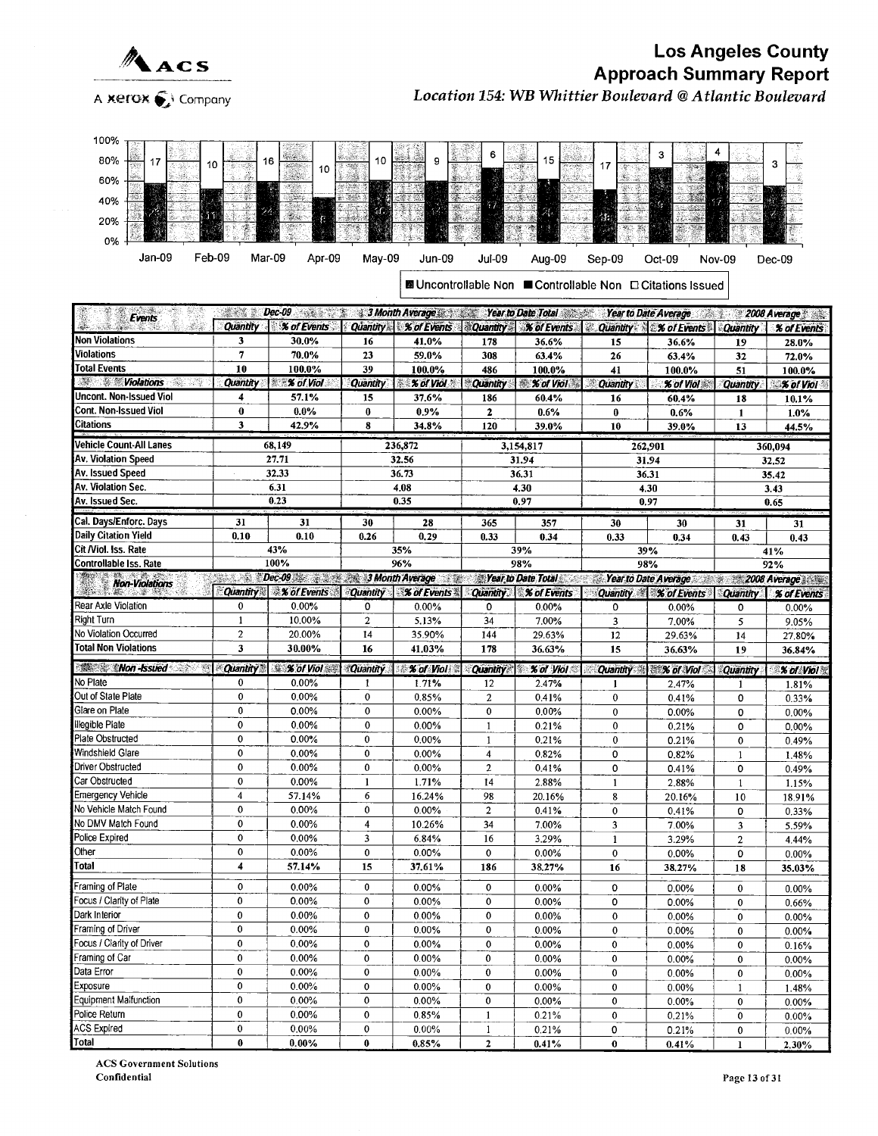

100%

#### Los Angeles County  $\triangle_{\text{ACS}}$ A xerox  $\bigcirc$  Company Location 154: WB Whittier Boulevard @ Atlantic Boulevard

| 80%<br>10                                                                                                                                                                                                                                                          |                              | 16<br>10                             | 10              |                                    |                              | 15                 | 17                           |                                                            |                       | 3              |
|--------------------------------------------------------------------------------------------------------------------------------------------------------------------------------------------------------------------------------------------------------------------|------------------------------|--------------------------------------|-----------------|------------------------------------|------------------------------|--------------------|------------------------------|------------------------------------------------------------|-----------------------|----------------|
| 60%                                                                                                                                                                                                                                                                |                              |                                      |                 |                                    |                              |                    |                              |                                                            |                       |                |
|                                                                                                                                                                                                                                                                    |                              |                                      | 63 I CM         |                                    |                              | 光電                 |                              |                                                            |                       |                |
| 40%                                                                                                                                                                                                                                                                |                              |                                      | îС              |                                    | 47                           |                    |                              |                                                            |                       |                |
| 20%                                                                                                                                                                                                                                                                |                              | H.                                   |                 |                                    |                              | 24                 | 恁<br>Ŷ.                      |                                                            |                       |                |
| 0%                                                                                                                                                                                                                                                                 |                              |                                      |                 |                                    |                              |                    |                              |                                                            |                       |                |
| Jan-09<br>Feb-09                                                                                                                                                                                                                                                   | Mar-09                       | Apr-09                               | May-09          | Jun-09                             | Jul-09                       | Aug-09             | Sep-09                       | Oct-09                                                     |                       |                |
|                                                                                                                                                                                                                                                                    |                              |                                      |                 |                                    |                              |                    |                              |                                                            | <b>Nov-09</b>         | Dec-09         |
|                                                                                                                                                                                                                                                                    |                              |                                      |                 |                                    |                              |                    |                              | ■ Uncontrollable Non ■ Controllable Non □ Citations Issued |                       |                |
|                                                                                                                                                                                                                                                                    |                              |                                      |                 |                                    |                              |                    |                              |                                                            |                       |                |
| Events                                                                                                                                                                                                                                                             | A. Ch<br>B                   | $Dec-09$ and $\mathbb{R}$            |                 | 3 Month Average Year to Date Total |                              |                    |                              | Year to Date Average 2008 Average                          |                       |                |
|                                                                                                                                                                                                                                                                    | Quantity                     | % of Events                          | Quantity        | % of Events                        | <b>Quantity</b>              | <b>% of Events</b> | <b>Quantity</b><br>Ø.        | <b>% of Events</b>                                         | <b>Quantity</b>       | % of Events    |
| Non Violations                                                                                                                                                                                                                                                     | 3                            | 30.0%                                | 16              | 41.0%                              | 178                          | 36.6%              | 15                           | 36.6%                                                      | 19                    | 28.0%          |
| Violations                                                                                                                                                                                                                                                         | 7                            | 70.0%                                | 23              | 59.0%                              | 308                          | 63.4%              | 26                           | 63.4%                                                      | 32                    | 72.0%          |
| <b>Total Events</b>                                                                                                                                                                                                                                                | 10                           | 100.0%                               | 39              | 100.0%                             | 486                          | 100.0%             | 41                           | 100.0%                                                     | 51                    | 100.0%         |
| <b>Williams</b><br>-520 - 71                                                                                                                                                                                                                                       | Quantity                     | <b>XX of Viol</b>                    | <b>Quantity</b> | % of Viol<br>$56 -$                | <b>Quantity</b>              | % of Viol          | Quantity                     | % of Viol                                                  | Quantity              | % of Viol      |
| Uncont. Non-Issued Viol                                                                                                                                                                                                                                            | 4                            | 57.1%                                | 15              | 37.6%                              | 186                          | 60.4%              | 16                           | 60.4%                                                      | 18                    | 10.1%          |
| Cont. Non-Issued Viol                                                                                                                                                                                                                                              | 0                            | 0.0%                                 | $\bf{0}$        | 0.9%                               | $\mathbf{2}$                 | 0.6%               | $\bf{0}$                     | 0.6%                                                       | 1                     | 1.0%           |
| Citations                                                                                                                                                                                                                                                          | 3                            | 42.9%                                | 8               | 34.8%                              | 120                          | 39.0%              | 10                           | 39.0%                                                      | 13                    | 44.5%          |
| Vehicle Count-All Lanes                                                                                                                                                                                                                                            |                              | 68,149                               |                 | 236,872                            |                              | 3,154,817          | 262,901                      |                                                            |                       | 360,094        |
| Av. Violation Speed                                                                                                                                                                                                                                                |                              | 27.71                                |                 | 32.56                              |                              | 31.94              |                              | 31.94                                                      |                       | 32,52          |
| Av. Issued Speed                                                                                                                                                                                                                                                   |                              | 32.33                                |                 | 36.73                              |                              | 36.31              | 36.31                        |                                                            |                       | 35.42          |
| Av. Violation Sec.                                                                                                                                                                                                                                                 |                              | 6.31                                 |                 | 4,08                               |                              | 4.30               |                              | 4.30                                                       |                       | 3.43           |
| Av. Issued Sec.                                                                                                                                                                                                                                                    |                              | 0.23                                 |                 | 0.35                               |                              | 0.97               |                              | 0.97                                                       |                       | 0.65           |
| Cal. Days/Enforc. Days                                                                                                                                                                                                                                             | 31                           | 31                                   | 30              | 28                                 | 365                          | 357                | 30                           | 30                                                         | 31                    | 31             |
| <b>Daily Citation Yield</b>                                                                                                                                                                                                                                        | 0.10                         | 0.10                                 | 0.26            | 0, 29                              | 0.33                         | 0.34               | 0.33                         | 0.34                                                       | 0.43                  | 0.43           |
| Cit /Viol. Iss. Rate                                                                                                                                                                                                                                               |                              | 43%                                  |                 | 35%                                |                              | 39%                |                              | 39%                                                        |                       | 41%            |
| Controllable Iss. Rate                                                                                                                                                                                                                                             |                              | 100%                                 |                 | 96%                                |                              | 98%                | 98%                          |                                                            |                       | 92%            |
| <b>Non-Violations</b>                                                                                                                                                                                                                                              | ment A                       | Dec-09 <b>38 200 3 Month Average</b> |                 |                                    |                              | Year to Date Total | 2. 50                        | Year to Date Average 2008 Average                          |                       |                |
|                                                                                                                                                                                                                                                                    | <b>Quantity</b>              | <b>% of Events</b>                   |                 | Quantity % of Events               | <b>Quantity</b>              | <b>% of Events</b> |                              | Quantity % of Events                                       | <b>Quantity</b>       | % of Events    |
|                                                                                                                                                                                                                                                                    |                              |                                      |                 |                                    |                              |                    |                              |                                                            |                       |                |
| Rear Axle Violation                                                                                                                                                                                                                                                | 0                            | 0.00%                                | 0               | $0.00\%$                           | 0                            | 0.00%              | 0                            | 0.00%                                                      | 0                     | 0.00%          |
| <b>Right Turn</b>                                                                                                                                                                                                                                                  | 1                            | 10.00%                               | $\overline{2}$  | 5.13%                              | 34                           | 7.00%              | 3                            | 7.00%                                                      | 5                     | 9.05%          |
| No Violation Occurred                                                                                                                                                                                                                                              | $\overline{c}$               | 20.00%                               | 14              | 35.90%                             | 144                          | 29.63%             | 12                           | 29.63%                                                     | 14                    | 27.80%         |
| <b>Total Non Violations</b>                                                                                                                                                                                                                                        | 3                            | 30.00%                               | 16              | 41.03%                             | 178                          | 36.63%             | 15                           | 36.63%                                                     | 19                    | 36.84%         |
| <b>Non-Issued</b>                                                                                                                                                                                                                                                  | Quantity                     | <b>X</b> of Viol                     | <b>Quantity</b> | <b>X</b> of Violes                 |                              | Quantity of Viol   | Quantity <b>Mark of Viol</b> |                                                            | Quantity              | % of Viol &    |
|                                                                                                                                                                                                                                                                    | 0                            | 0.00%                                | 1               | 1.71%                              | 12                           | 2.47%              | 1                            | 2.47%                                                      | 1                     | 1.81%          |
|                                                                                                                                                                                                                                                                    | 0                            | 0.00%                                | $\bf{0}$        | 0.85%                              | $\overline{a}$               | 0.41%              | $\bf{0}$                     | 0.41%                                                      | 0                     | 0.33%          |
|                                                                                                                                                                                                                                                                    | 0                            | 0.00%                                | $\mathbf 0$     | 0.00%                              | $\mathbf 0$                  | 0.00%              | $\mathbf 0$                  | 0.00%                                                      | 0                     | 0.00%          |
|                                                                                                                                                                                                                                                                    | 0                            | 0.00%                                | $\mathbf 0$     | 0.00%                              | 1                            | 0.21%              | 0                            | 0.21%                                                      | 0                     | 0.00%          |
|                                                                                                                                                                                                                                                                    | 0                            | 0.00%                                | $\mathbf 0$     | 0.00%                              | $\mathbf{1}$                 | 0.21%              | 0                            | 0.21%                                                      | 0                     | 0.49%          |
|                                                                                                                                                                                                                                                                    | 0                            | 0.00%                                | $\mathbf 0$     | 0.00%                              | $\overline{4}$               | 0.82%              | 0                            | 0.82%                                                      | $\mathbf{1}$          | 1.48%          |
|                                                                                                                                                                                                                                                                    | 0                            | $0.00\%$                             | $\bf{0}$        | 0.00%                              | $\overline{\mathbf{c}}$      | 0.41%              | 0                            | 0.41%                                                      | 0                     | 0.49%          |
|                                                                                                                                                                                                                                                                    | 0<br>$\overline{\mathbf{A}}$ | 0.00%                                | $\bf{1}$        | 1.71%                              | 14                           | 2.88%              | $\mathbf{1}$                 | 2.88%                                                      | $\mathbf{1}$          | 1.15%          |
|                                                                                                                                                                                                                                                                    | 0                            | 57.14%<br>0.00%                      | 6<br>$\bf{0}$   | 16.24%                             | 98                           | 20.16%             | 8                            | 20.16%                                                     | $10\,$                | 18.91%         |
|                                                                                                                                                                                                                                                                    | 0                            | 0.00%                                | 4               | $0.00\%$<br>10.26%                 | $\boldsymbol{2}$<br>34       | 0.41%<br>7.00%     | 0<br>3                       | 0.41%<br>7.00%                                             | 0                     | 0.33%          |
|                                                                                                                                                                                                                                                                    | 0                            | 0.00%                                | 3               |                                    | 16                           | 3.29%              | 1                            | 3.29%                                                      | 3<br>$\boldsymbol{2}$ | 5.59%<br>4.44% |
|                                                                                                                                                                                                                                                                    | 0                            | 0.00%                                | $\bf{0}$        | $6.84\%$<br>$0.00\%$               | $\bf{0}$                     | 0.00%              | 0                            | 0.00%                                                      | 0                     | $0.00\%$       |
| No Plate<br>Out of State Plate<br>Glare on Plate<br>illegible Plate<br>Plate Obstructed<br>Windshield Glare<br>Driver Obstructed<br>Car Obstructed<br><b>Emergency Vehicle</b><br>No Vehicle Match Found<br>No DMV Match Found<br>Police Expired<br>Other<br>Total | 4                            | 57.14%                               | 15              | 37.61%                             | 186                          | 38.27%             | 16                           | 38.27%                                                     | 18                    | 35.03%         |
|                                                                                                                                                                                                                                                                    |                              |                                      |                 |                                    |                              |                    |                              |                                                            |                       |                |
| Framing of Plate                                                                                                                                                                                                                                                   | 0                            | 0.00%                                | $\bf{0}$        | 0.00%                              | $\bf{0}$                     | $0.00\%$           | 0                            | 0.00%                                                      | 0                     | $0.00\%$       |
| Focus / Clarity of Plate<br>Dark Interior                                                                                                                                                                                                                          | 0<br>0                       | $0.00\%$<br>0.00%                    | 0<br>0          | 0.00%                              | $\mathbf 0$<br>$\mathbf 0$   | $0.00\%$           | 0                            | 0.00%                                                      | 0                     | 0.66%          |
| Framing of Driver                                                                                                                                                                                                                                                  | 0                            | 0.00%                                | $\bf{0}$        | 0.00%<br>0.00%                     | 0                            | 0.00%<br>$0.00\%$  | $\pmb{0}$<br>$\bf{0}$        | 0.00%                                                      | 0                     | 0.00%          |
| Focus / Clarity of Driver                                                                                                                                                                                                                                          | 0                            | 0.00%                                | 0               | $0.00\%$                           | 0                            | $0.00\%$           | 0                            | 0.00%<br>0.00%                                             | 0<br>0                | 0.00%          |
| Framing of Car                                                                                                                                                                                                                                                     | 0                            | 0.00%                                | 0               | 0.00%                              | 0                            | $0.00\%$           | $\pmb{0}$                    | 0.00%                                                      | 0                     | 0.16%<br>0.00% |
| Data Error                                                                                                                                                                                                                                                         | 0                            | 0.00%                                | 0               | $0.00\%$                           | 0                            | $0.00\%$           | 0                            | 0.00%                                                      | 0                     | 0.00%          |
| Exposure                                                                                                                                                                                                                                                           | 0                            | 0.00%                                | $\bf{0}$        | $0.00\%$                           | $\pmb{0}$                    | 0.00%              | $\pmb{0}$                    | 0.00%                                                      | 1                     | 1.48%          |
| <b>Equipment Malfunction</b>                                                                                                                                                                                                                                       | 0                            | 0.00%                                | 0               | $0.00\%$                           | $\bf{0}$                     | $0.00\%$           | 0                            | $0.00\%$                                                   | 0                     | $0.00\%$       |
| Police Return                                                                                                                                                                                                                                                      | 0                            | 0.00%                                | 0               | 0.85%                              | $\mathbf{1}$                 | 0.21%              | 0                            | 0.21%                                                      | 0                     | 0.00%          |
| <b>ACS Expired</b><br>Total                                                                                                                                                                                                                                        | 0<br>$\pmb{0}$               | 0.00%<br>$0.00\%$                    | 0<br>0          | 0.00%                              | $\mathbf{1}$<br>$\mathbf{2}$ | 0.21%              | 0                            | 0.21%                                                      | 0                     | 0.00%          |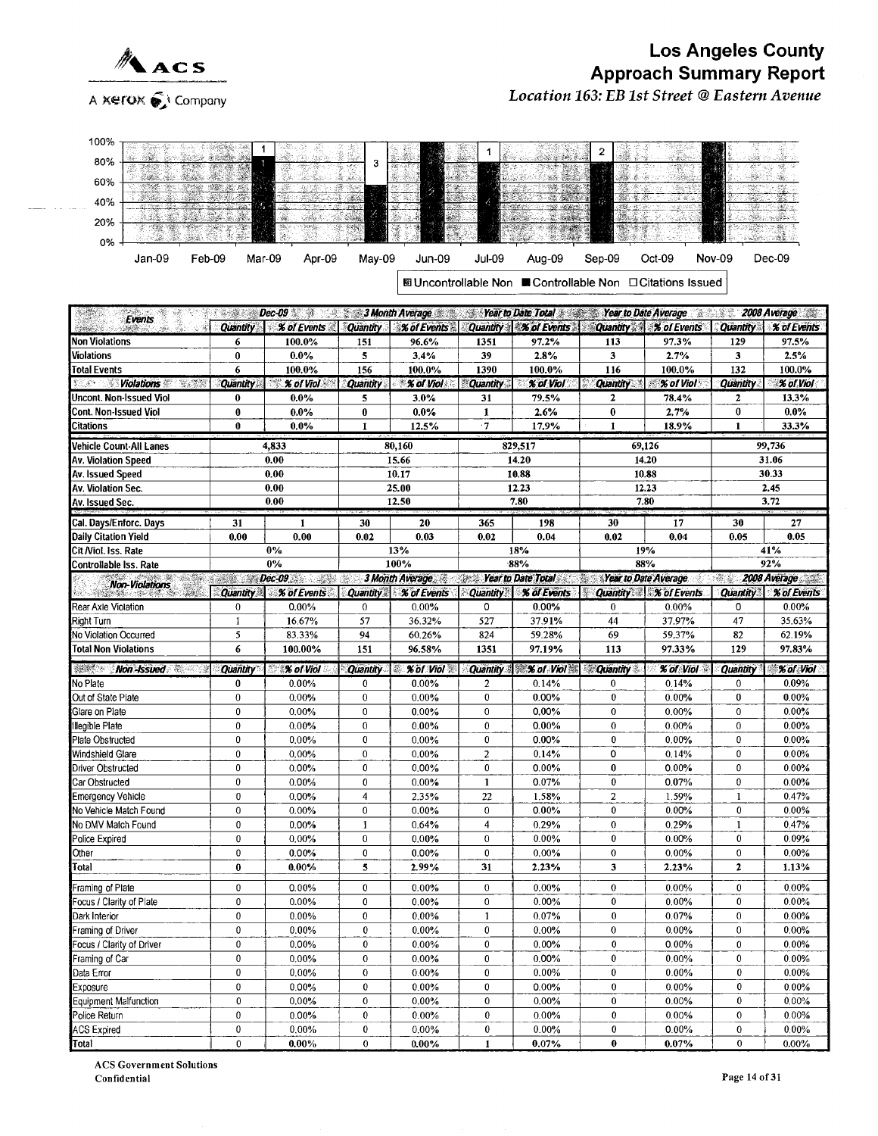

Location 163: EB 1st Street @Eastern Avenue

| 100%                                                                                                                             | n standardin sing |                                                                                                                                                                                                                                                                                                                                                                                                                                                                                            |                 |                   |                               |                               |                          |                             |                 |                     |  |
|----------------------------------------------------------------------------------------------------------------------------------|-------------------|--------------------------------------------------------------------------------------------------------------------------------------------------------------------------------------------------------------------------------------------------------------------------------------------------------------------------------------------------------------------------------------------------------------------------------------------------------------------------------------------|-----------------|-------------------|-------------------------------|-------------------------------|--------------------------|-----------------------------|-----------------|---------------------|--|
| 80%                                                                                                                              |                   |                                                                                                                                                                                                                                                                                                                                                                                                                                                                                            | 3               |                   |                               |                               | 2                        |                             |                 |                     |  |
| 60%                                                                                                                              | 24                |                                                                                                                                                                                                                                                                                                                                                                                                                                                                                            |                 |                   |                               |                               |                          |                             |                 |                     |  |
|                                                                                                                                  | 2008 Sta 14       |                                                                                                                                                                                                                                                                                                                                                                                                                                                                                            |                 | -98<br>Ž<br>W.    |                               |                               |                          |                             |                 |                     |  |
| 40%                                                                                                                              |                   |                                                                                                                                                                                                                                                                                                                                                                                                                                                                                            |                 |                   |                               |                               |                          |                             |                 |                     |  |
| 20%                                                                                                                              | 1943              |                                                                                                                                                                                                                                                                                                                                                                                                                                                                                            |                 | J.                |                               |                               |                          |                             |                 |                     |  |
| 0%                                                                                                                               |                   |                                                                                                                                                                                                                                                                                                                                                                                                                                                                                            |                 |                   |                               |                               |                          |                             |                 | - 25 %              |  |
| Jan-09<br>Feb-09                                                                                                                 | Mar-09            | Apr-09                                                                                                                                                                                                                                                                                                                                                                                                                                                                                     | May-09          | Jun-09            | Jul-09                        | Aug-09                        | Sep-09                   | Oct-09                      | Nov-09          | Dec-09              |  |
|                                                                                                                                  |                   |                                                                                                                                                                                                                                                                                                                                                                                                                                                                                            |                 |                   |                               |                               |                          |                             |                 |                     |  |
| 國 Uncontrollable Non ■ Controllable Non □ Citations Issued                                                                       |                   |                                                                                                                                                                                                                                                                                                                                                                                                                                                                                            |                 |                   |                               |                               |                          |                             |                 |                     |  |
|                                                                                                                                  |                   | 2008 Average<br><b>Sear to Date Average Sear to Date Total Sear to Date Average Sears 2009</b><br>$\mathbb{R}^n$                                                                                                                                                                                                                                                                                                                                                                           |                 |                   |                               |                               |                          |                             |                 |                     |  |
| Events                                                                                                                           | <b>Quantity</b>   | $Dec-09$<br>% of Events                                                                                                                                                                                                                                                                                                                                                                                                                                                                    | Quantity        | % of Events       | <b>Quantity</b>               | <b><i>X of Events</i></b>     | <b>Quantity</b>          | <b>% of Events</b>          | <b>Quantity</b> | % of Events         |  |
| Non Violations                                                                                                                   | 6                 | 100.0%                                                                                                                                                                                                                                                                                                                                                                                                                                                                                     | 151             | 96.6%             | 1351                          | 97.2%                         | 113                      | 97.3%                       | 129             | 97.5%               |  |
| Violations                                                                                                                       | 0                 | 0.0%                                                                                                                                                                                                                                                                                                                                                                                                                                                                                       | 5               | 3,4%              | 39                            | 2.8%                          | 3                        | 2.7%                        | 3               | 2.5%                |  |
| <b>Total Events</b>                                                                                                              | 6                 | 100.0%                                                                                                                                                                                                                                                                                                                                                                                                                                                                                     | 156             | 100.0%            | 1390                          | 100.0%                        | 116                      | 100.0%                      | 132             | 100.0%              |  |
| <b><i>Service Service Violations</i></b>                                                                                         | <b>Quantity</b>   | $\%$ of Viol                                                                                                                                                                                                                                                                                                                                                                                                                                                                               | <b>Quantity</b> | $%$ of Viol       | <b>Quantity</b>               | % of Viol                     | <b>Quantity</b>          | % of Viol                   | Quantity        | % of Viol           |  |
| Uncont. Non-Issued Viol<br>Cont. Non-Issued Viol                                                                                 | 0                 | $0.0\%$                                                                                                                                                                                                                                                                                                                                                                                                                                                                                    | 5               | 3.0%              | 31                            | 79.5%                         | 2                        | 78.4%                       | 2               | 13.3%               |  |
| Citations                                                                                                                        | $\bf{0}$<br>0     | 0.0%<br>$0.0\%$                                                                                                                                                                                                                                                                                                                                                                                                                                                                            | $\bf{0}$<br>1   | 0.0%<br>12.5%     | 1<br>$\cdot$ 7                | 2.6%<br>17.9%                 | $\bf{0}$<br>$\mathbf{1}$ | 2,7%<br>18.9%               | $\bf{0}$<br>1   | 0.0%<br>33.3%       |  |
|                                                                                                                                  |                   |                                                                                                                                                                                                                                                                                                                                                                                                                                                                                            |                 |                   |                               |                               |                          |                             |                 |                     |  |
| Vehicle Count-All Lanes                                                                                                          |                   | 4,833                                                                                                                                                                                                                                                                                                                                                                                                                                                                                      |                 | 80,160            |                               | 829,517                       |                          | 69,126                      | 99,736          |                     |  |
| 0.00<br>Av. Violation Speed                                                                                                      |                   | 0.00                                                                                                                                                                                                                                                                                                                                                                                                                                                                                       |                 | 15.66<br>10.17    |                               | 14.20<br>10.88                | 14.20                    |                             | 31.06<br>30.33  |                     |  |
| Av. Issued Speed<br>Av. Violation Sec.                                                                                           |                   | 0.00                                                                                                                                                                                                                                                                                                                                                                                                                                                                                       |                 | 25.00             |                               | 12.23                         | 10.88<br>12.23           |                             | 2.45            |                     |  |
| Av. Issued Sec.                                                                                                                  |                   | 0.00                                                                                                                                                                                                                                                                                                                                                                                                                                                                                       |                 | 12.50             |                               | 7.80                          | 7.80                     |                             | 3.72            |                     |  |
| Cal. Days/Enforc. Days                                                                                                           |                   |                                                                                                                                                                                                                                                                                                                                                                                                                                                                                            |                 |                   |                               |                               |                          |                             |                 |                     |  |
| <b>Daily Citation Yield</b>                                                                                                      | 31<br>0.00        | 1<br>0.00                                                                                                                                                                                                                                                                                                                                                                                                                                                                                  | 30<br>0.02      | 20<br>0.03        | 365<br>0.02                   | 198<br>0.04                   | 30<br>0.02               | 17<br>0.04                  | 30<br>0.05      | 27<br>0.05          |  |
| Cit Niol. Iss. Rate                                                                                                              |                   | $0\%$                                                                                                                                                                                                                                                                                                                                                                                                                                                                                      |                 | 13%               |                               | 18%                           |                          | 19%                         |                 | 41%                 |  |
| 92%<br>$0\%$<br>100%<br>$-88%$<br>88%                                                                                            |                   |                                                                                                                                                                                                                                                                                                                                                                                                                                                                                            |                 |                   |                               |                               |                          |                             |                 |                     |  |
| Controllable Iss. Rate                                                                                                           |                   |                                                                                                                                                                                                                                                                                                                                                                                                                                                                                            |                 |                   |                               |                               |                          |                             |                 |                     |  |
|                                                                                                                                  |                   | $\blacksquare$ $\blacksquare$ $\blacksquare$ $\blacksquare$ $\blacksquare$ $\blacksquare$ $\blacksquare$ $\blacksquare$ $\blacksquare$ $\blacksquare$ $\blacksquare$ $\blacksquare$ $\blacksquare$ $\blacksquare$ $\blacksquare$ $\blacksquare$ $\blacksquare$ $\blacksquare$ $\blacksquare$ $\blacksquare$ $\blacksquare$ $\blacksquare$ $\blacksquare$ $\blacksquare$ $\blacksquare$ $\blacksquare$ $\blacksquare$ $\blacksquare$ $\blacksquare$ $\blacksquare$ $\blacksquare$ $\blacks$ | 28              | 3 Month Average   | San Alba                      | <b>Year to Date Total</b>     | Year to Date Average     |                             | 泰羅              | <b>2008 Average</b> |  |
| <b>Non-Violations</b><br>-32-33<br><b>SANSONS</b>                                                                                | <b>Quantity</b>   | $%$ of Events                                                                                                                                                                                                                                                                                                                                                                                                                                                                              | <b>Quantity</b> | % of Events       | <b>Quantity</b>               | % of Events                   |                          | <b>Quantity X</b> of Events | <b>Quantity</b> | % of Events         |  |
| Rear Axle Violation                                                                                                              | 0                 | 0.00%                                                                                                                                                                                                                                                                                                                                                                                                                                                                                      | $\bf{0}$        | 0.00%             | 0                             | 0.00%                         | $\mathbf 0$              | 0.00%                       | 0               | 0.00%               |  |
|                                                                                                                                  | 1                 | 16.67%                                                                                                                                                                                                                                                                                                                                                                                                                                                                                     | 57              | 36.32%            | 527                           | 37.91%                        | 44                       | 37.97%                      | 47              | 35.63%              |  |
| Right Turn<br>No Violation Occurred<br><b>Total Non Violations</b>                                                               | 5<br>6            | 83.33%                                                                                                                                                                                                                                                                                                                                                                                                                                                                                     | 94              | 60.26%            | 824                           | 59.28%                        | 69                       | 59.37%                      | 82<br>129       | 62.19%              |  |
|                                                                                                                                  |                   | 100.00%                                                                                                                                                                                                                                                                                                                                                                                                                                                                                    | 151             | 96.58%            | 1351                          | 97.19%                        | 113                      | 97.33%                      |                 | 97.83%              |  |
| <b>Non-Issued</b>                                                                                                                | Quantity          | % of Viol                                                                                                                                                                                                                                                                                                                                                                                                                                                                                  | <b>Quantity</b> | <b>% of Viol</b>  | <b>Quantity</b>               | $\approx$ % of Viol $\approx$ | <b>Quantity</b>          | <b>% of Viol</b>            | <b>Quantity</b> | % of Viol           |  |
|                                                                                                                                  | 0<br>0            | 0.00%<br>0.00%                                                                                                                                                                                                                                                                                                                                                                                                                                                                             | 0<br>0          | 0.00%<br>0.00%    | $\overline{c}$<br>$\mathbf 0$ | 0.14%<br>0.00%                | $\mathbf 0$<br>$\bf{0}$  | 0.14%<br>0.00%              | 0<br>0          | 0.09%<br>0.00%      |  |
|                                                                                                                                  | 0                 | 0.00%                                                                                                                                                                                                                                                                                                                                                                                                                                                                                      | $\mathbf{0}$    | $0.00\%$          | $\mathbf{0}$                  | 0.00%                         | $\bf{0}$                 | 0.00%                       | $\bf{0}$        | 0.00%               |  |
|                                                                                                                                  | 0                 | 0.00%                                                                                                                                                                                                                                                                                                                                                                                                                                                                                      | 0               | 0.00%             | 0                             | 0.00%                         | $\bf{0}$                 | 0.00%                       | 0               | 0.00%               |  |
|                                                                                                                                  | $\bf{0}$          | 0.00%                                                                                                                                                                                                                                                                                                                                                                                                                                                                                      | 0               | 0.00%             | 0                             | 0.00%                         | $\pmb{0}$                | 0.00%                       | 0               | 0.00%               |  |
|                                                                                                                                  | 0                 | $0.00\%$                                                                                                                                                                                                                                                                                                                                                                                                                                                                                   | 0               | 0.00%             | 2                             | 0.14%                         | 0                        | 0.14%                       | 0               | 0.00%               |  |
| No Plate<br>Out of State Plate<br>Glare on Plate<br>Illegible Plate<br>Plate Obstructed<br>Windshield Glare<br>Driver Obstructed | 0                 | 0.00%                                                                                                                                                                                                                                                                                                                                                                                                                                                                                      | 0               | 0.00%             | $\bf{0}$                      | 0.00%                         | $\bf{0}$                 | 0.00%                       | 0               | 0.00%               |  |
| Car Obstructed                                                                                                                   | 0                 | $0.00\%$                                                                                                                                                                                                                                                                                                                                                                                                                                                                                   | 0               | 0.00%             | $\mathbf{1}$                  | 0.07%                         | 0                        | 0.07%                       | 0               | 0.00%               |  |
|                                                                                                                                  | 0                 | $0.00\%$                                                                                                                                                                                                                                                                                                                                                                                                                                                                                   | 4               | 2.35%             | 22                            | 1.58%                         | $\boldsymbol{2}$         | 1.59%                       | 1               | 0.47%               |  |
| <b>Emergency Vehicle</b><br>No Vehicle Match Found                                                                               | $\bf{0}$          | 0.00%                                                                                                                                                                                                                                                                                                                                                                                                                                                                                      | $\bf{0}$        | 0.00%             | $\bf{0}$                      | 0.00%                         | $\bf{0}$                 | 0.00%                       | 0               | 0.00%               |  |
| No DMV Match Found<br>Police Expired                                                                                             | 0<br>0            | 0.00%<br>0.00%                                                                                                                                                                                                                                                                                                                                                                                                                                                                             | 1<br>$\bf{0}$   | 0.64%<br>0.00%    | 4<br>0                        | 0.29%<br>0.00%                | 0<br>$\pmb{0}$           | 0.29%<br>0.00%              | 1<br>0          | 0.47%<br>0.09%      |  |
| Other                                                                                                                            | 0                 | 0.00%                                                                                                                                                                                                                                                                                                                                                                                                                                                                                      | 0               | $0.00\%$          | 0                             | 0.00%                         | $\bf{0}$                 | 0.00%                       | 0               | 0.00%               |  |
| Total                                                                                                                            | $\bf{0}$          | $0.00\%$                                                                                                                                                                                                                                                                                                                                                                                                                                                                                   | 5               | 2.99%             | 31                            | 2.23%                         | $\mathbf{3}$             | 2.23%                       | $\mathbf{z}$    | 1.13%               |  |
|                                                                                                                                  | $\bf{0}$          |                                                                                                                                                                                                                                                                                                                                                                                                                                                                                            |                 |                   | $\bf{0}$                      |                               | $\bf{0}$                 |                             | 0               | 0.00%               |  |
| Framing of Plate<br>Focus / Clarity of Plate                                                                                     | 0                 | 0.00%<br>0.00%                                                                                                                                                                                                                                                                                                                                                                                                                                                                             | 0<br>0          | 0.00%<br>0.00%    | $\bf{0}$                      | 0.00%<br>0.00%                | 0                        | 0.00%<br>0.00%              | 0               | 0.00%               |  |
| Dark Interior                                                                                                                    | 0                 | 0.00%                                                                                                                                                                                                                                                                                                                                                                                                                                                                                      | 0               | 0,00%             | $\mathbf{1}$                  | 0.07%                         | $\bf{0}$                 | 0.07%                       | 0               | 0.00%               |  |
| Framing of Driver                                                                                                                | 0                 | $0.00\%$                                                                                                                                                                                                                                                                                                                                                                                                                                                                                   | 0               | 0.00%             | 0                             | 0.00%                         | 0                        | 0.00%                       | 0               | 0.00%               |  |
| Focus / Clarity of Driver<br>Framing of Car                                                                                      | 0<br>0            | 0.00%<br>0.00%                                                                                                                                                                                                                                                                                                                                                                                                                                                                             | 0<br>0          | $0.00\%$<br>0.00% | 0<br>0                        | 0.00%<br>0.00%                | 0<br>$\bf{0}$            | 0.00%<br>$0.00\%$           | 0<br>0          | 0.00%<br>0.00%      |  |

Data Error 0 0.00% 0 0.00% 0 0.00% 0 0.00% 0 0.00% Exposure | 0 | 0.00% | 0 | 0.00% | 0 | 0.00% | 0 | 0.00% | 0 | 0.00% | 0 Equipment Malfunction 0 0.00% 0 0.00% 0 0.00% 0 0.00% 0 0.00% 0 0.00% 0 0.00% 0 0.00% 0 0.00% 0 0.00% 0 0.00% 0 Police Return 0 0.00% 0 0.00% 0 0.00% 0 0.00% 0 0.00% 0 0.00% 0 0.00% ACS Expired 0 0.00% 0 0.00% 0 0.00% 0 0.00% 0 0.00% 0 0.000 0.000 0.000 0.000 0.000 0.000 0.000 0.00 0.00 0.00 Total 1 0.07% 0 0.00% 0 0.00% 1 0.07% 0 0.07% 0 0.07% 0 0.000 0.000 0.000 0.000 0.000 0.000 0.000 0.000 0.000 0.000 0.000 0.000 0.000 0.000 0.000 0.000 0.000 0.000 0.000 0.000 0.000 0.000 0.000 0.000 0.000 0.000 0.000 0.0

ACS Government Solutions ConSdential Page 14 of 31